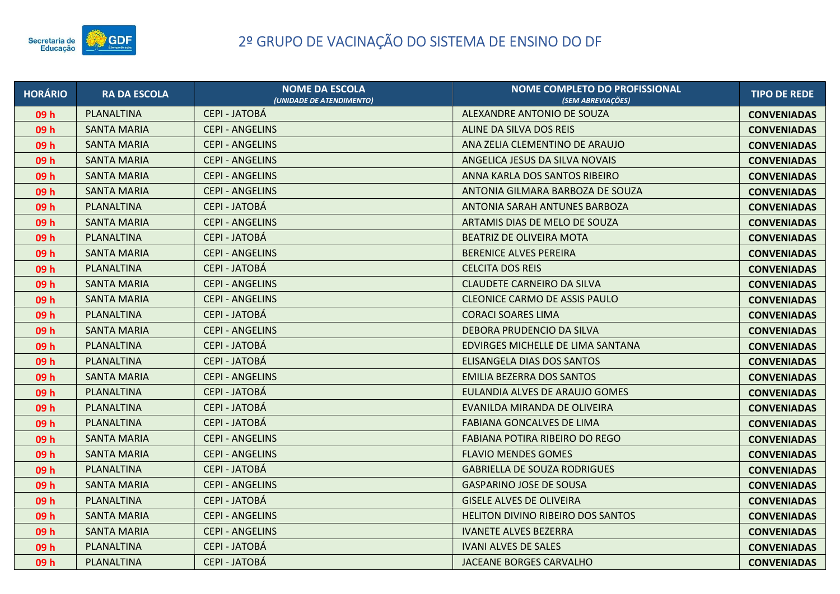

| <b>HORÁRIO</b>  | <b>RA DA ESCOLA</b> | <b>NOME DA ESCOLA</b><br>(UNIDADE DE ATENDIMENTO) | NOME COMPLETO DO PROFISSIONAL<br>(SEM ABREVIAÇÕES) | <b>TIPO DE REDE</b> |
|-----------------|---------------------|---------------------------------------------------|----------------------------------------------------|---------------------|
| 09 <sub>h</sub> | PLANALTINA          | <b>CEPI - JATOBÁ</b>                              | ALEXANDRE ANTONIO DE SOUZA                         | <b>CONVENIADAS</b>  |
| 09 h            | SANTA MARIA         | <b>CEPI - ANGELINS</b>                            | ALINE DA SILVA DOS REIS                            | <b>CONVENIADAS</b>  |
| 09 h            | <b>SANTA MARIA</b>  | <b>CEPI - ANGELINS</b>                            | ANA ZELIA CLEMENTINO DE ARAUJO                     | <b>CONVENIADAS</b>  |
| 09h             | <b>SANTA MARIA</b>  | <b>CEPI - ANGELINS</b>                            | ANGELICA JESUS DA SILVA NOVAIS                     | <b>CONVENIADAS</b>  |
| 09 h            | <b>SANTA MARIA</b>  | <b>CEPI - ANGELINS</b>                            | ANNA KARLA DOS SANTOS RIBEIRO                      | <b>CONVENIADAS</b>  |
| 09 h            | <b>SANTA MARIA</b>  | <b>CEPI - ANGELINS</b>                            | ANTONIA GILMARA BARBOZA DE SOUZA                   | <b>CONVENIADAS</b>  |
| 09h             | <b>PLANALTINA</b>   | <b>CEPI - JATOBÁ</b>                              | ANTONIA SARAH ANTUNES BARBOZA                      | <b>CONVENIADAS</b>  |
| 09h             | <b>SANTA MARIA</b>  | <b>CEPI - ANGELINS</b>                            | ARTAMIS DIAS DE MELO DE SOUZA                      | <b>CONVENIADAS</b>  |
| 09h             | PLANALTINA          | <b>CEPI - JATOBÁ</b>                              | BEATRIZ DE OLIVEIRA MOTA                           | <b>CONVENIADAS</b>  |
| 09 <sub>h</sub> | <b>SANTA MARIA</b>  | <b>CEPI - ANGELINS</b>                            | <b>BERENICE ALVES PEREIRA</b>                      | <b>CONVENIADAS</b>  |
| 09h             | PLANALTINA          | <b>CEPI - JATOBÁ</b>                              | <b>CELCITA DOS REIS</b>                            | <b>CONVENIADAS</b>  |
| 09h             | <b>SANTA MARIA</b>  | <b>CEPI - ANGELINS</b>                            | <b>CLAUDETE CARNEIRO DA SILVA</b>                  | <b>CONVENIADAS</b>  |
| 09 h            | <b>SANTA MARIA</b>  | <b>CEPI - ANGELINS</b>                            | <b>CLEONICE CARMO DE ASSIS PAULO</b>               | <b>CONVENIADAS</b>  |
| 09h             | PLANALTINA          | <b>CEPI - JATOBÁ</b>                              | <b>CORACI SOARES LIMA</b>                          | <b>CONVENIADAS</b>  |
| 09h             | <b>SANTA MARIA</b>  | <b>CEPI - ANGELINS</b>                            | DEBORA PRUDENCIO DA SILVA                          | <b>CONVENIADAS</b>  |
| 09 h            | PLANALTINA          | CEPI - JATOBÁ                                     | EDVIRGES MICHELLE DE LIMA SANTANA                  | <b>CONVENIADAS</b>  |
| 09 h            | PLANALTINA          | <b>CEPI - JATOBÁ</b>                              | ELISANGELA DIAS DOS SANTOS                         | <b>CONVENIADAS</b>  |
| 09h             | <b>SANTA MARIA</b>  | <b>CEPI - ANGELINS</b>                            | <b>EMILIA BEZERRA DOS SANTOS</b>                   | <b>CONVENIADAS</b>  |
| 09 h            | PLANALTINA          | <b>CEPI - JATOBÁ</b>                              | EULANDIA ALVES DE ARAUJO GOMES                     | <b>CONVENIADAS</b>  |
| 09 <sub>h</sub> | PLANALTINA          | <b>CEPI - JATOBÁ</b>                              | EVANILDA MIRANDA DE OLIVEIRA                       | <b>CONVENIADAS</b>  |
| 09h             | PLANALTINA          | <b>CEPI - JATOBÁ</b>                              | <b>FABIANA GONCALVES DE LIMA</b>                   | <b>CONVENIADAS</b>  |
| 09h             | SANTA MARIA         | <b>CEPI - ANGELINS</b>                            | FABIANA POTIRA RIBEIRO DO REGO                     | <b>CONVENIADAS</b>  |
| 09h             | <b>SANTA MARIA</b>  | <b>CEPI - ANGELINS</b>                            | <b>FLAVIO MENDES GOMES</b>                         | <b>CONVENIADAS</b>  |
| 09 h            | <b>PLANALTINA</b>   | <b>CEPI - JATOBÁ</b>                              | <b>GABRIELLA DE SOUZA RODRIGUES</b>                | <b>CONVENIADAS</b>  |
| 09h             | <b>SANTA MARIA</b>  | <b>CEPI - ANGELINS</b>                            | <b>GASPARINO JOSE DE SOUSA</b>                     | <b>CONVENIADAS</b>  |
| 09h             | PLANALTINA          | <b>CEPI - JATOBÁ</b>                              | <b>GISELE ALVES DE OLIVEIRA</b>                    | <b>CONVENIADAS</b>  |
| 09 h            | <b>SANTA MARIA</b>  | <b>CEPI - ANGELINS</b>                            | HELITON DIVINO RIBEIRO DOS SANTOS                  | <b>CONVENIADAS</b>  |
| 09 h            | <b>SANTA MARIA</b>  | <b>CEPI - ANGELINS</b>                            | <b>IVANETE ALVES BEZERRA</b>                       | <b>CONVENIADAS</b>  |
| 09h             | PLANALTINA          | <b>CEPI - JATOBÁ</b>                              | <b>IVANI ALVES DE SALES</b>                        | <b>CONVENIADAS</b>  |
| 09 h            | PLANALTINA          | <b>CEPI - JATOBÁ</b>                              | JACEANE BORGES CARVALHO                            | <b>CONVENIADAS</b>  |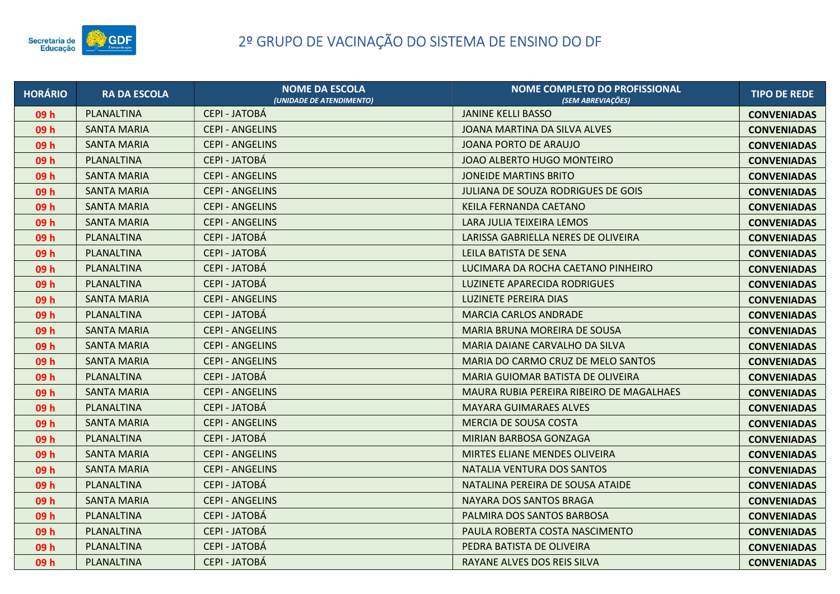

| <b>HORÁRIO</b>  | <b>RA DA ESCOLA</b> | <b>NOME DA ESCOLA</b><br>(UNIDADE DE ATENDIMENTO) | NOME COMPLETO DO PROFISSIONAL<br>(SEM ABREVIACÕES) | <b>TIPO DE REDE</b> |
|-----------------|---------------------|---------------------------------------------------|----------------------------------------------------|---------------------|
| 09 h            | PLANALTINA          | <b>CEPI - JATOBÁ</b>                              | <b>JANINE KELLI BASSO</b>                          | <b>CONVENIADAS</b>  |
| 09 h            | <b>SANTA MARIA</b>  | <b>CEPI - ANGELINS</b>                            | JOANA MARTINA DA SILVA ALVES                       | <b>CONVENIADAS</b>  |
| 09 h            | <b>SANTA MARIA</b>  | <b>CEPI - ANGELINS</b>                            | <b>JOANA PORTO DE ARAUJO</b>                       | <b>CONVENIADAS</b>  |
| 09 h            | PLANALTINA          | <b>CEPI - JATOBÁ</b>                              | JOAO ALBERTO HUGO MONTEIRO                         | <b>CONVENIADAS</b>  |
| 09 h            | SANTA MARIA         | <b>CEPI - ANGELINS</b>                            | <b>JONEIDE MARTINS BRITO</b>                       | <b>CONVENIADAS</b>  |
| 09 h            | <b>SANTA MARIA</b>  | <b>CEPI - ANGELINS</b>                            | JULIANA DE SOUZA RODRIGUES DE GOIS                 | <b>CONVENIADAS</b>  |
| 09 h            | SANTA MARIA         | <b>CEPI - ANGELINS</b>                            | KEILA FERNANDA CAETANO                             | <b>CONVENIADAS</b>  |
| 09 h            | <b>SANTA MARIA</b>  | <b>CEPI - ANGELINS</b>                            | LARA JULIA TEIXEIRA LEMOS                          | <b>CONVENIADAS</b>  |
| 09 h            | PLANALTINA          | CEPI - JATOBÁ                                     | LARISSA GABRIELLA NERES DE OLIVEIRA                | <b>CONVENIADAS</b>  |
| 09 h            | PLANALTINA          | <b>CEPI - JATOBÁ</b>                              | LEILA BATISTA DE SENA                              | <b>CONVENIADAS</b>  |
| 09 h            | PLANALTINA          | <b>CEPI - JATOBÁ</b>                              | LUCIMARA DA ROCHA CAETANO PINHEIRO                 | <b>CONVENIADAS</b>  |
| 09 h            | PLANALTINA          | <b>CEPI - JATOBÁ</b>                              | LUZINETE APARECIDA RODRIGUES                       | <b>CONVENIADAS</b>  |
| 09 h            | SANTA MARIA         | <b>CEPI - ANGELINS</b>                            | <b>LUZINETE PEREIRA DIAS</b>                       | <b>CONVENIADAS</b>  |
| 09 h            | PLANALTINA          | <b>CEPI - JATOBÁ</b>                              | <b>MARCIA CARLOS ANDRADE</b>                       | <b>CONVENIADAS</b>  |
| 09 <sub>h</sub> | <b>SANTA MARIA</b>  | <b>CEPI - ANGELINS</b>                            | MARIA BRUNA MOREIRA DE SOUSA                       | <b>CONVENIADAS</b>  |
| 09 h            | <b>SANTA MARIA</b>  | <b>CEPI - ANGELINS</b>                            | MARIA DAIANE CARVALHO DA SILVA                     | <b>CONVENIADAS</b>  |
| 09 h            | <b>SANTA MARIA</b>  | <b>CEPI - ANGELINS</b>                            | MARIA DO CARMO CRUZ DE MELO SANTOS                 | <b>CONVENIADAS</b>  |
| 09 h            | PLANALTINA          | <b>CEPI - JATOBÁ</b>                              | MARIA GUIOMAR BATISTA DE OLIVEIRA                  | <b>CONVENIADAS</b>  |
| 09 h            | <b>SANTA MARIA</b>  | <b>CEPI - ANGELINS</b>                            | MAURA RUBIA PEREIRA RIBEIRO DE MAGALHAES           | <b>CONVENIADAS</b>  |
| 09 h            | PLANALTINA          | <b>CEPI - JATOBÁ</b>                              | <b>MAYARA GUIMARAES ALVES</b>                      | <b>CONVENIADAS</b>  |
| 09 h            | <b>SANTA MARIA</b>  | <b>CEPI - ANGELINS</b>                            | MERCIA DE SOUSA COSTA                              | <b>CONVENIADAS</b>  |
| 09 h            | PLANALTINA          | CEPI - JATOBÁ                                     | MIRIAN BARBOSA GONZAGA                             | <b>CONVENIADAS</b>  |
| 09h             | <b>SANTA MARIA</b>  | <b>CEPI - ANGELINS</b>                            | MIRTES ELIANE MENDES OLIVEIRA                      | <b>CONVENIADAS</b>  |
| 09 h            | SANTA MARIA         | <b>CEPI - ANGELINS</b>                            | NATALIA VENTURA DOS SANTOS                         | <b>CONVENIADAS</b>  |
| 09 h            | PLANALTINA          | <b>CEPI - JATOBÁ</b>                              | NATALINA PEREIRA DE SOUSA ATAIDE                   | <b>CONVENIADAS</b>  |
| 09 h            | <b>SANTA MARIA</b>  | <b>CEPI - ANGELINS</b>                            | NAYARA DOS SANTOS BRAGA                            | <b>CONVENIADAS</b>  |
| 09 h            | PLANALTINA          | <b>CEPI - JATOBÁ</b>                              | PALMIRA DOS SANTOS BARBOSA                         | <b>CONVENIADAS</b>  |
| 09 h            | PLANALTINA          | CEPI - JATOBÁ                                     | PAULA ROBERTA COSTA NASCIMENTO                     | <b>CONVENIADAS</b>  |
| 09 h            | PLANALTINA          | <b>CEPI - JATOBÁ</b>                              | PEDRA BATISTA DE OLIVEIRA                          | <b>CONVENIADAS</b>  |
| 09 h            | PLANALTINA          | <b>CEPI - JATOBÁ</b>                              | RAYANE ALVES DOS REIS SILVA                        | <b>CONVENIADAS</b>  |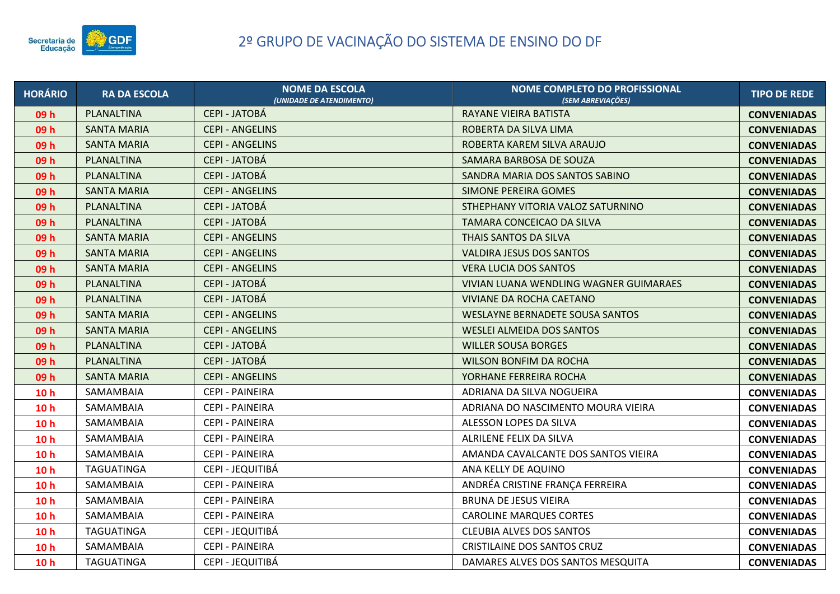

| <b>HORÁRIO</b>  | <b>RA DA ESCOLA</b> | <b>NOME DA ESCOLA</b><br>(UNIDADE DE ATENDIMENTO) | NOME COMPLETO DO PROFISSIONAL<br>(SEM ABREVIACÕES) | <b>TIPO DE REDE</b> |
|-----------------|---------------------|---------------------------------------------------|----------------------------------------------------|---------------------|
| 09 h            | PLANALTINA          | <b>CEPI - JATOBÁ</b>                              | <b>RAYANE VIEIRA BATISTA</b>                       | <b>CONVENIADAS</b>  |
| 09h             | <b>SANTA MARIA</b>  | <b>CEPI - ANGELINS</b>                            | ROBERTA DA SILVA LIMA                              | <b>CONVENIADAS</b>  |
| 09h             | <b>SANTA MARIA</b>  | <b>CEPI - ANGELINS</b>                            | ROBERTA KAREM SILVA ARAUJO                         | <b>CONVENIADAS</b>  |
| 09h             | PLANALTINA          | <b>CEPI - JATOBÁ</b>                              | SAMARA BARBOSA DE SOUZA                            | <b>CONVENIADAS</b>  |
| 09 h            | PLANALTINA          | <b>CEPI - JATOBÁ</b>                              | SANDRA MARIA DOS SANTOS SABINO                     | <b>CONVENIADAS</b>  |
| 09h             | <b>SANTA MARIA</b>  | <b>CEPI - ANGELINS</b>                            | <b>SIMONE PEREIRA GOMES</b>                        | <b>CONVENIADAS</b>  |
| 09h             | PLANALTINA          | <b>CEPI - JATOBÁ</b>                              | STHEPHANY VITORIA VALOZ SATURNINO                  | <b>CONVENIADAS</b>  |
| 09h             | PLANALTINA          | <b>CEPI - JATOBÁ</b>                              | TAMARA CONCEICAO DA SILVA                          | <b>CONVENIADAS</b>  |
| 09 <sub>h</sub> | <b>SANTA MARIA</b>  | <b>CEPI - ANGELINS</b>                            | THAIS SANTOS DA SILVA                              | <b>CONVENIADAS</b>  |
| 09 h            | <b>SANTA MARIA</b>  | <b>CEPI - ANGELINS</b>                            | <b>VALDIRA JESUS DOS SANTOS</b>                    | <b>CONVENIADAS</b>  |
| 09h             | <b>SANTA MARIA</b>  | <b>CEPI - ANGELINS</b>                            | <b>VERA LUCIA DOS SANTOS</b>                       | <b>CONVENIADAS</b>  |
| 09h             | PLANALTINA          | <b>CEPI - JATOBÁ</b>                              | VIVIAN LUANA WENDLING WAGNER GUIMARAES             | <b>CONVENIADAS</b>  |
| 09h             | PLANALTINA          | <b>CEPI - JATOBÁ</b>                              | VIVIANE DA ROCHA CAETANO                           | <b>CONVENIADAS</b>  |
| 09h             | <b>SANTA MARIA</b>  | <b>CEPI - ANGELINS</b>                            | <b>WESLAYNE BERNADETE SOUSA SANTOS</b>             | <b>CONVENIADAS</b>  |
| 09h             | <b>SANTA MARIA</b>  | <b>CEPI - ANGELINS</b>                            | <b>WESLEI ALMEIDA DOS SANTOS</b>                   | <b>CONVENIADAS</b>  |
| 09h             | PLANALTINA          | <b>CEPI - JATOBÁ</b>                              | <b>WILLER SOUSA BORGES</b>                         | <b>CONVENIADAS</b>  |
| 09h             | PLANALTINA          | CEPI - JATOBÁ                                     | <b>WILSON BONFIM DA ROCHA</b>                      | <b>CONVENIADAS</b>  |
| 09h             | <b>SANTA MARIA</b>  | <b>CEPI - ANGELINS</b>                            | YORHANE FERREIRA ROCHA                             | <b>CONVENIADAS</b>  |
| 10 <sub>h</sub> | SAMAMBAIA           | CEPI - PAINEIRA                                   | ADRIANA DA SILVA NOGUEIRA                          | <b>CONVENIADAS</b>  |
| 10 <sub>h</sub> | SAMAMBAIA           | CEPI - PAINEIRA                                   | ADRIANA DO NASCIMENTO MOURA VIEIRA                 | <b>CONVENIADAS</b>  |
| 10 <sub>h</sub> | SAMAMBAIA           | <b>CEPI - PAINEIRA</b>                            | ALESSON LOPES DA SILVA                             | <b>CONVENIADAS</b>  |
| 10 <sub>h</sub> | SAMAMBAIA           | <b>CEPI - PAINEIRA</b>                            | ALRILENE FELIX DA SILVA                            | <b>CONVENIADAS</b>  |
| 10 <sub>h</sub> | SAMAMBAIA           | CEPI - PAINEIRA                                   | AMANDA CAVALCANTE DOS SANTOS VIEIRA                | <b>CONVENIADAS</b>  |
| 10 <sub>h</sub> | TAGUATINGA          | CEPI - JEQUITIBÁ                                  | ANA KELLY DE AQUINO                                | <b>CONVENIADAS</b>  |
| 10 <sub>h</sub> | SAMAMBAIA           | CEPI - PAINEIRA                                   | ANDRÉA CRISTINE FRANÇA FERREIRA                    | <b>CONVENIADAS</b>  |
| 10 <sub>h</sub> | SAMAMBAIA           | CEPI - PAINEIRA                                   | <b>BRUNA DE JESUS VIEIRA</b>                       | <b>CONVENIADAS</b>  |
| 10 <sub>h</sub> | SAMAMBAIA           | CEPI - PAINEIRA                                   | <b>CAROLINE MARQUES CORTES</b>                     | <b>CONVENIADAS</b>  |
| 10 <sub>h</sub> | TAGUATINGA          | CEPI - JEQUITIBÁ                                  | <b>CLEUBIA ALVES DOS SANTOS</b>                    | <b>CONVENIADAS</b>  |
| 10 <sub>h</sub> | SAMAMBAIA           | CEPI - PAINEIRA                                   | <b>CRISTILAINE DOS SANTOS CRUZ</b>                 | <b>CONVENIADAS</b>  |
| 10 <sub>h</sub> | TAGUATINGA          | CEPI - JEQUITIBÁ                                  | DAMARES ALVES DOS SANTOS MESQUITA                  | <b>CONVENIADAS</b>  |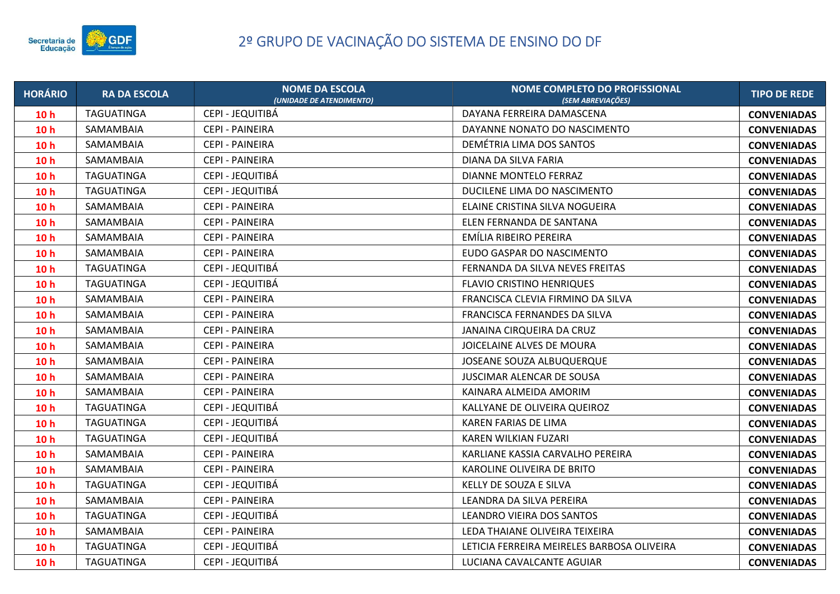

| <b>HORÁRIO</b>  | <b>RA DA ESCOLA</b> | <b>NOME DA ESCOLA</b><br>(UNIDADE DE ATENDIMENTO) | NOME COMPLETO DO PROFISSIONAL<br>(SEM ABREVIACÕES) | <b>TIPO DE REDE</b> |
|-----------------|---------------------|---------------------------------------------------|----------------------------------------------------|---------------------|
| 10 <sub>h</sub> | TAGUATINGA          | CEPI - JEQUITIBÁ                                  | DAYANA FERREIRA DAMASCENA                          | <b>CONVENIADAS</b>  |
| 10 <sub>h</sub> | SAMAMBAIA           | <b>CEPI - PAINEIRA</b>                            | DAYANNE NONATO DO NASCIMENTO                       | <b>CONVENIADAS</b>  |
| 10 <sub>h</sub> | SAMAMBAIA           | <b>CEPI - PAINEIRA</b>                            | DEMÉTRIA LIMA DOS SANTOS                           | <b>CONVENIADAS</b>  |
| 10 <sub>h</sub> | SAMAMBAIA           | CEPI - PAINEIRA                                   | DIANA DA SILVA FARIA                               | <b>CONVENIADAS</b>  |
| 10 <sub>h</sub> | TAGUATINGA          | CEPI - JEQUITIBA                                  | DIANNE MONTELO FERRAZ                              | <b>CONVENIADAS</b>  |
| 10 <sub>h</sub> | TAGUATINGA          | CEPI - JEQUITIBÁ                                  | DUCILENE LIMA DO NASCIMENTO                        | <b>CONVENIADAS</b>  |
| 10 <sub>h</sub> | SAMAMBAIA           | CEPI - PAINEIRA                                   | ELAINE CRISTINA SILVA NOGUEIRA                     | <b>CONVENIADAS</b>  |
| 10 <sub>h</sub> | SAMAMBAIA           | CEPI - PAINEIRA                                   | ELEN FERNANDA DE SANTANA                           | <b>CONVENIADAS</b>  |
| 10 <sub>h</sub> | SAMAMBAIA           | <b>CEPI - PAINEIRA</b>                            | EMÍLIA RIBEIRO PEREIRA                             | <b>CONVENIADAS</b>  |
| 10 <sub>h</sub> | SAMAMBAIA           | CEPI - PAINEIRA                                   | EUDO GASPAR DO NASCIMENTO                          | <b>CONVENIADAS</b>  |
| 10 <sub>h</sub> | TAGUATINGA          | CEPI - JEQUITIBÁ                                  | FERNANDA DA SILVA NEVES FREITAS                    | <b>CONVENIADAS</b>  |
| 10 <sub>h</sub> | TAGUATINGA          | CEPI - JEQUITIBÁ                                  | <b>FLAVIO CRISTINO HENRIQUES</b>                   | <b>CONVENIADAS</b>  |
| 10 <sub>h</sub> | SAMAMBAIA           | <b>CEPI - PAINEIRA</b>                            | FRANCISCA CLEVIA FIRMINO DA SILVA                  | <b>CONVENIADAS</b>  |
| 10 <sub>h</sub> | SAMAMBAIA           | <b>CEPI - PAINEIRA</b>                            | FRANCISCA FERNANDES DA SILVA                       | <b>CONVENIADAS</b>  |
| 10 <sub>h</sub> | SAMAMBAIA           | <b>CEPI - PAINEIRA</b>                            | JANAINA CIRQUEIRA DA CRUZ                          | <b>CONVENIADAS</b>  |
| 10 <sub>h</sub> | SAMAMBAIA           | <b>CEPI - PAINEIRA</b>                            | JOICELAINE ALVES DE MOURA                          | <b>CONVENIADAS</b>  |
| 10 <sub>h</sub> | SAMAMBAIA           | <b>CEPI - PAINEIRA</b>                            | JOSEANE SOUZA ALBUQUERQUE                          | <b>CONVENIADAS</b>  |
| 10 <sub>h</sub> | SAMAMBAIA           | CEPI - PAINEIRA                                   | JUSCIMAR ALENCAR DE SOUSA                          | <b>CONVENIADAS</b>  |
| 10 <sub>h</sub> | SAMAMBAIA           | CEPI - PAINEIRA                                   | KAINARA ALMEIDA AMORIM                             | <b>CONVENIADAS</b>  |
| 10 <sub>h</sub> | TAGUATINGA          | CEPI - JEQUITIBÁ                                  | KALLYANE DE OLIVEIRA QUEIROZ                       | <b>CONVENIADAS</b>  |
| 10 <sub>h</sub> | <b>TAGUATINGA</b>   | CEPI - JEQUITIBÁ                                  | KAREN FARIAS DE LIMA                               | <b>CONVENIADAS</b>  |
| 10 <sub>h</sub> | TAGUATINGA          | CEPI - JEQUITIBÁ                                  | <b>KAREN WILKIAN FUZARI</b>                        | <b>CONVENIADAS</b>  |
| 10 <sub>h</sub> | SAMAMBAIA           | <b>CEPI - PAINEIRA</b>                            | KARLIANE KASSIA CARVALHO PEREIRA                   | <b>CONVENIADAS</b>  |
| 10 <sub>h</sub> | SAMAMBAIA           | CEPI - PAINEIRA                                   | KAROLINE OLIVEIRA DE BRITO                         | <b>CONVENIADAS</b>  |
| 10 <sub>h</sub> | <b>TAGUATINGA</b>   | CEPI - JEQUITIBÁ                                  | KELLY DE SOUZA E SILVA                             | <b>CONVENIADAS</b>  |
| 10 <sub>h</sub> | SAMAMBAIA           | <b>CEPI - PAINEIRA</b>                            | LEANDRA DA SILVA PEREIRA                           | <b>CONVENIADAS</b>  |
| 10 <sub>h</sub> | TAGUATINGA          | CEPI - JEQUITIBÁ                                  | LEANDRO VIEIRA DOS SANTOS                          | <b>CONVENIADAS</b>  |
| 10 <sub>h</sub> | SAMAMBAIA           | CEPI - PAINEIRA                                   | LEDA THAIANE OLIVEIRA TEIXEIRA                     | <b>CONVENIADAS</b>  |
| 10 <sub>h</sub> | TAGUATINGA          | CEPI - JEQUITIBÁ                                  | LETICIA FERREIRA MEIRELES BARBOSA OLIVEIRA         | <b>CONVENIADAS</b>  |
| 10 <sub>h</sub> | TAGUATINGA          | CEPI - JEQUITIBÁ                                  | LUCIANA CAVALCANTE AGUIAR                          | <b>CONVENIADAS</b>  |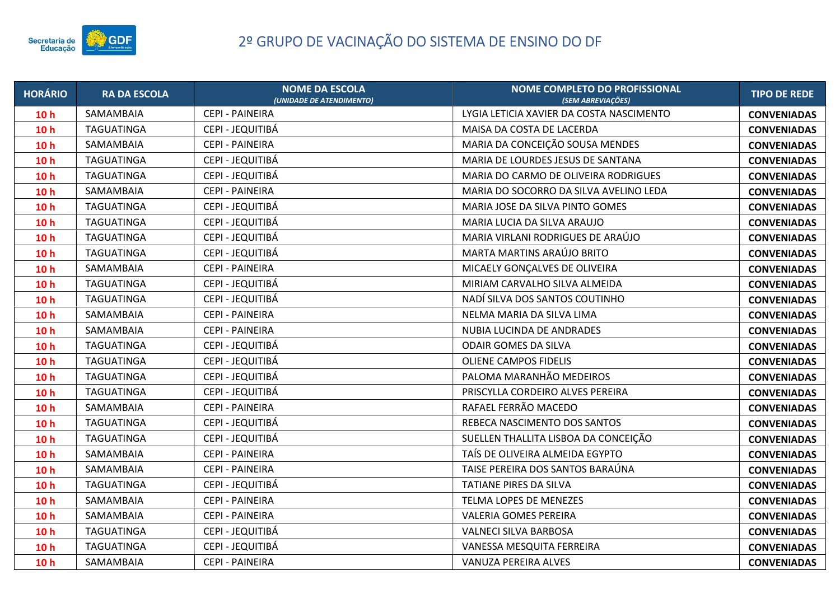

| <b>HORÁRIO</b>  | <b>RA DA ESCOLA</b> | <b>NOME DA ESCOLA</b><br>(UNIDADE DE ATENDIMENTO) | <b>NOME COMPLETO DO PROFISSIONAL</b><br>(SEM ABREVIACÕES) | <b>TIPO DE REDE</b> |
|-----------------|---------------------|---------------------------------------------------|-----------------------------------------------------------|---------------------|
| 10 <sub>h</sub> | SAMAMBAIA           | CEPI - PAINEIRA                                   | LYGIA LETICIA XAVIER DA COSTA NASCIMENTO                  | <b>CONVENIADAS</b>  |
| 10 <sub>h</sub> | <b>TAGUATINGA</b>   | CEPI - JEQUITIBÁ                                  | MAISA DA COSTA DE LACERDA                                 | <b>CONVENIADAS</b>  |
| 10 <sub>h</sub> | SAMAMBAIA           | CEPI - PAINEIRA                                   | MARIA DA CONCEIÇÃO SOUSA MENDES                           | <b>CONVENIADAS</b>  |
| 10 <sub>h</sub> | <b>TAGUATINGA</b>   | CEPI - JEQUITIBÁ                                  | MARIA DE LOURDES JESUS DE SANTANA                         | <b>CONVENIADAS</b>  |
| 10 <sub>h</sub> | TAGUATINGA          | CEPI - JEQUITIBÁ                                  | MARIA DO CARMO DE OLIVEIRA RODRIGUES                      | <b>CONVENIADAS</b>  |
| 10 <sub>h</sub> | SAMAMBAIA           | CEPI - PAINEIRA                                   | MARIA DO SOCORRO DA SILVA AVELINO LEDA                    | <b>CONVENIADAS</b>  |
| 10 <sub>h</sub> | <b>TAGUATINGA</b>   | CEPI - JEQUITIBÁ                                  | MARIA JOSE DA SILVA PINTO GOMES                           | <b>CONVENIADAS</b>  |
| 10 <sub>h</sub> | <b>TAGUATINGA</b>   | CEPI - JEQUITIBÁ                                  | MARIA LUCIA DA SILVA ARAUJO                               | <b>CONVENIADAS</b>  |
| 10 <sub>h</sub> | <b>TAGUATINGA</b>   | CEPI - JEQUITIBÁ                                  | MARIA VIRLANI RODRIGUES DE ARAÚJO                         | <b>CONVENIADAS</b>  |
| 10 <sub>h</sub> | <b>TAGUATINGA</b>   | CEPI - JEQUITIBÁ                                  | MARTA MARTINS ARAÚJO BRITO                                | <b>CONVENIADAS</b>  |
| 10 <sub>h</sub> | SAMAMBAIA           | CEPI - PAINEIRA                                   | MICAELY GONÇALVES DE OLIVEIRA                             | <b>CONVENIADAS</b>  |
| 10 <sub>h</sub> | <b>TAGUATINGA</b>   | CEPI - JEQUITIBÁ                                  | MIRIAM CARVALHO SILVA ALMEIDA                             | <b>CONVENIADAS</b>  |
| 10 <sub>h</sub> | <b>TAGUATINGA</b>   | CEPI - JEQUITIBÁ                                  | NADÍ SILVA DOS SANTOS COUTINHO                            | <b>CONVENIADAS</b>  |
| 10 <sub>h</sub> | SAMAMBAIA           | <b>CEPI - PAINEIRA</b>                            | NELMA MARIA DA SILVA LIMA                                 | <b>CONVENIADAS</b>  |
| 10 <sub>h</sub> | SAMAMBAIA           | CEPI - PAINEIRA                                   | NUBIA LUCINDA DE ANDRADES                                 | <b>CONVENIADAS</b>  |
| 10 <sub>h</sub> | <b>TAGUATINGA</b>   | CEPI - JEQUITIBÁ                                  | <b>ODAIR GOMES DA SILVA</b>                               | <b>CONVENIADAS</b>  |
| 10 <sub>h</sub> | <b>TAGUATINGA</b>   | CEPI - JEQUITIBÁ                                  | <b>OLIENE CAMPOS FIDELIS</b>                              | <b>CONVENIADAS</b>  |
| 10 <sub>h</sub> | <b>TAGUATINGA</b>   | CEPI - JEQUITIBÁ                                  | PALOMA MARANHÃO MEDEIROS                                  | <b>CONVENIADAS</b>  |
| 10 <sub>h</sub> | TAGUATINGA          | CEPI - JEQUITIBÁ                                  | PRISCYLLA CORDEIRO ALVES PEREIRA                          | <b>CONVENIADAS</b>  |
| 10 <sub>h</sub> | SAMAMBAIA           | CEPI - PAINEIRA                                   | RAFAEL FERRÃO MACEDO                                      | <b>CONVENIADAS</b>  |
| 10 <sub>h</sub> | <b>TAGUATINGA</b>   | CEPI - JEQUITIBÁ                                  | REBECA NASCIMENTO DOS SANTOS                              | <b>CONVENIADAS</b>  |
| 10 <sub>h</sub> | <b>TAGUATINGA</b>   | CEPI - JEQUITIBÁ                                  | SUELLEN THALLITA LISBOA DA CONCEIÇÃO                      | <b>CONVENIADAS</b>  |
| 10 <sub>h</sub> | SAMAMBAIA           | <b>CEPI - PAINEIRA</b>                            | TAÍS DE OLIVEIRA ALMEIDA EGYPTO                           | <b>CONVENIADAS</b>  |
| 10 <sub>h</sub> | SAMAMBAIA           | CEPI - PAINEIRA                                   | TAISE PEREIRA DOS SANTOS BARAÚNA                          | <b>CONVENIADAS</b>  |
| 10 <sub>h</sub> | <b>TAGUATINGA</b>   | CEPI - JEQUITIBÁ                                  | TATIANE PIRES DA SILVA                                    | <b>CONVENIADAS</b>  |
| 10 <sub>h</sub> | SAMAMBAIA           | CEPI - PAINEIRA                                   | TELMA LOPES DE MENEZES                                    | <b>CONVENIADAS</b>  |
| 10 <sub>h</sub> | SAMAMBAIA           | CEPI - PAINEIRA                                   | <b>VALERIA GOMES PEREIRA</b>                              | <b>CONVENIADAS</b>  |
| 10 <sub>h</sub> | TAGUATINGA          | CEPI - JEQUITIBÁ                                  | VALNECI SILVA BARBOSA                                     | <b>CONVENIADAS</b>  |
| 10 <sub>h</sub> | <b>TAGUATINGA</b>   | CEPI - JEQUITIBÁ                                  | VANESSA MESQUITA FERREIRA                                 | <b>CONVENIADAS</b>  |
| 10 <sub>h</sub> | SAMAMBAIA           | <b>CEPI - PAINEIRA</b>                            | VANUZA PEREIRA ALVES                                      | <b>CONVENIADAS</b>  |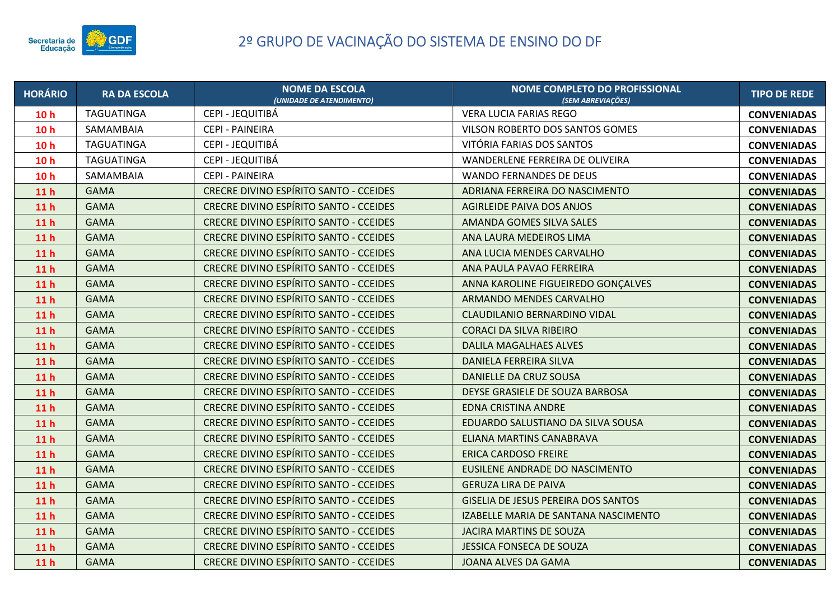

| <b>HORÁRIO</b>  | <b>RA DA ESCOLA</b> | <b>NOME DA ESCOLA</b><br>(UNIDADE DE ATENDIMENTO) | <b>NOME COMPLETO DO PROFISSIONAL</b><br>(SEM ABREVIAÇÕES) | <b>TIPO DE REDE</b> |
|-----------------|---------------------|---------------------------------------------------|-----------------------------------------------------------|---------------------|
| 10 <sub>h</sub> | TAGUATINGA          | CEPI - JEQUITIBÁ                                  | VERA LUCIA FARIAS REGO                                    | <b>CONVENIADAS</b>  |
| 10 <sub>h</sub> | SAMAMBAIA           | <b>CEPI - PAINEIRA</b>                            | VILSON ROBERTO DOS SANTOS GOMES                           | <b>CONVENIADAS</b>  |
| 10 <sub>h</sub> | TAGUATINGA          | CEPI - JEQUITIBÁ                                  | VITÓRIA FARIAS DOS SANTOS                                 | <b>CONVENIADAS</b>  |
| 10 <sub>h</sub> | TAGUATINGA          | CEPI - JEQUITIBÁ                                  | WANDERLENE FERREIRA DE OLIVEIRA                           | <b>CONVENIADAS</b>  |
| 10 <sub>h</sub> | SAMAMBAIA           | CEPI - PAINEIRA                                   | <b>WANDO FERNANDES DE DEUS</b>                            | <b>CONVENIADAS</b>  |
| 11 <sub>h</sub> | <b>GAMA</b>         | <b>CRECRE DIVINO ESPÍRITO SANTO - CCEIDES</b>     | ADRIANA FERREIRA DO NASCIMENTO                            | <b>CONVENIADAS</b>  |
| 11 <sub>h</sub> | <b>GAMA</b>         | <b>CRECRE DIVINO ESPÍRITO SANTO - CCEIDES</b>     | <b>AGIRLEIDE PAIVA DOS ANJOS</b>                          | <b>CONVENIADAS</b>  |
| 11 <sub>h</sub> | <b>GAMA</b>         | <b>CRECRE DIVINO ESPÍRITO SANTO - CCEIDES</b>     | AMANDA GOMES SILVA SALES                                  | <b>CONVENIADAS</b>  |
| 11 <sub>h</sub> | <b>GAMA</b>         | CRECRE DIVINO ESPÍRITO SANTO - CCEIDES            | ANA LAURA MEDEIROS LIMA                                   | <b>CONVENIADAS</b>  |
| 11 <sub>h</sub> | <b>GAMA</b>         | <b>CRECRE DIVINO ESPÍRITO SANTO - CCEIDES</b>     | ANA LUCIA MENDES CARVALHO                                 | <b>CONVENIADAS</b>  |
| 11 <sub>h</sub> | <b>GAMA</b>         | <b>CRECRE DIVINO ESPÍRITO SANTO - CCEIDES</b>     | ANA PAULA PAVAO FERREIRA                                  | <b>CONVENIADAS</b>  |
| 11 <sub>h</sub> | <b>GAMA</b>         | <b>CRECRE DIVINO ESPÍRITO SANTO - CCEIDES</b>     | ANNA KAROLINE FIGUEIREDO GONÇALVES                        | <b>CONVENIADAS</b>  |
| 11 <sub>h</sub> | <b>GAMA</b>         | <b>CRECRE DIVINO ESPÍRITO SANTO - CCEIDES</b>     | ARMANDO MENDES CARVALHO                                   | <b>CONVENIADAS</b>  |
| 11 <sub>h</sub> | <b>GAMA</b>         | <b>CRECRE DIVINO ESPÍRITO SANTO - CCEIDES</b>     | CLAUDILANIO BERNARDINO VIDAL                              | <b>CONVENIADAS</b>  |
| 11 <sub>h</sub> | <b>GAMA</b>         | CRECRE DIVINO ESPÍRITO SANTO - CCEIDES            | <b>CORACI DA SILVA RIBEIRO</b>                            | <b>CONVENIADAS</b>  |
| 11 <sub>h</sub> | <b>GAMA</b>         | <b>CRECRE DIVINO ESPÍRITO SANTO - CCEIDES</b>     | <b>DALILA MAGALHAES ALVES</b>                             | <b>CONVENIADAS</b>  |
| 11 <sub>h</sub> | <b>GAMA</b>         | CRECRE DIVINO ESPÍRITO SANTO - CCEIDES            | DANIELA FERREIRA SILVA                                    | <b>CONVENIADAS</b>  |
| 11 <sub>h</sub> | <b>GAMA</b>         | <b>CRECRE DIVINO ESPÍRITO SANTO - CCEIDES</b>     | DANIELLE DA CRUZ SOUSA                                    | <b>CONVENIADAS</b>  |
| 11 <sub>h</sub> | <b>GAMA</b>         | CRECRE DIVINO ESPÍRITO SANTO - CCEIDES            | DEYSE GRASIELE DE SOUZA BARBOSA                           | <b>CONVENIADAS</b>  |
| 11 <sub>h</sub> | <b>GAMA</b>         | <b>CRECRE DIVINO ESPÍRITO SANTO - CCEIDES</b>     | <b>EDNA CRISTINA ANDRE</b>                                | <b>CONVENIADAS</b>  |
| 11 <sub>h</sub> | <b>GAMA</b>         | <b>CRECRE DIVINO ESPÍRITO SANTO - CCEIDES</b>     | EDUARDO SALUSTIANO DA SILVA SOUSA                         | <b>CONVENIADAS</b>  |
| 11 <sub>h</sub> | <b>GAMA</b>         | <b>CRECRE DIVINO ESPÍRITO SANTO - CCEIDES</b>     | ELIANA MARTINS CANABRAVA                                  | <b>CONVENIADAS</b>  |
| 11 <sub>h</sub> | <b>GAMA</b>         | CRECRE DIVINO ESPÍRITO SANTO - CCEIDES            | <b>ERICA CARDOSO FREIRE</b>                               | <b>CONVENIADAS</b>  |
| 11 <sub>h</sub> | <b>GAMA</b>         | <b>CRECRE DIVINO ESPÍRITO SANTO - CCEIDES</b>     | EUSILENE ANDRADE DO NASCIMENTO                            | <b>CONVENIADAS</b>  |
| 11 <sub>h</sub> | <b>GAMA</b>         | CRECRE DIVINO ESPÍRITO SANTO - CCEIDES            | <b>GERUZA LIRA DE PAIVA</b>                               | <b>CONVENIADAS</b>  |
| 11 <sub>h</sub> | <b>GAMA</b>         | CRECRE DIVINO ESPÍRITO SANTO - CCEIDES            | <b>GISELIA DE JESUS PEREIRA DOS SANTOS</b>                | <b>CONVENIADAS</b>  |
| 11 <sub>h</sub> | <b>GAMA</b>         | CRECRE DIVINO ESPÍRITO SANTO - CCEIDES            | IZABELLE MARIA DE SANTANA NASCIMENTO                      | <b>CONVENIADAS</b>  |
| 11 <sub>h</sub> | <b>GAMA</b>         | <b>CRECRE DIVINO ESPÍRITO SANTO - CCEIDES</b>     | <b>JACIRA MARTINS DE SOUZA</b>                            | <b>CONVENIADAS</b>  |
| 11 <sub>h</sub> | <b>GAMA</b>         | CRECRE DIVINO ESPÍRITO SANTO - CCEIDES            | <b>JESSICA FONSECA DE SOUZA</b>                           | <b>CONVENIADAS</b>  |
| 11 <sub>h</sub> | <b>GAMA</b>         | <b>CRECRE DIVINO ESPÍRITO SANTO - CCEIDES</b>     | JOANA ALVES DA GAMA                                       | <b>CONVENIADAS</b>  |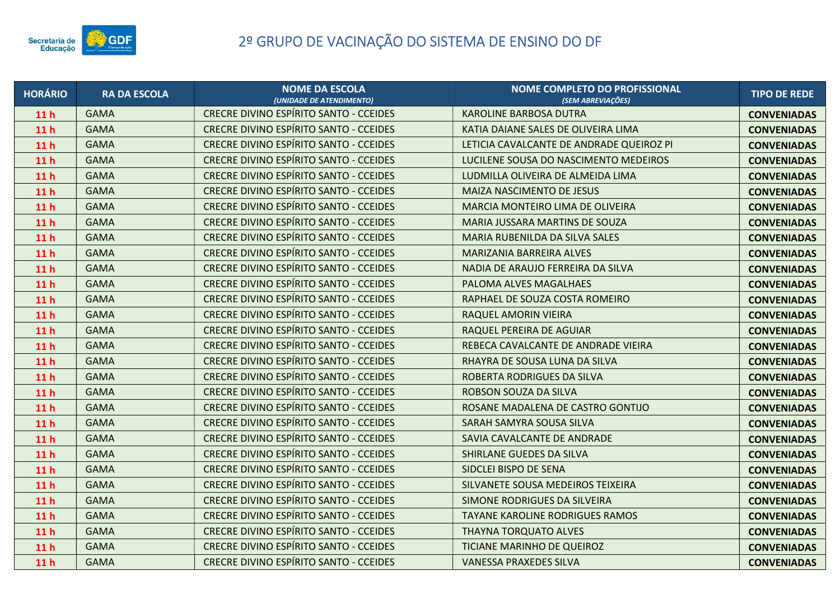

| <b>HORÁRIO</b>  | <b>RA DA ESCOLA</b> | <b>NOME DA ESCOLA</b><br>(UNIDADE DE ATENDIMENTO) | NOME COMPLETO DO PROFISSIONAL<br>(SEM ABREVIAÇÕES) | <b>TIPO DE REDE</b> |
|-----------------|---------------------|---------------------------------------------------|----------------------------------------------------|---------------------|
| 11 <sub>h</sub> | <b>GAMA</b>         | <b>CRECRE DIVINO ESPÍRITO SANTO - CCEIDES</b>     | <b>KAROLINE BARBOSA DUTRA</b>                      | <b>CONVENIADAS</b>  |
| 11 <sub>h</sub> | <b>GAMA</b>         | <b>CRECRE DIVINO ESPÍRITO SANTO - CCEIDES</b>     | KATIA DAIANE SALES DE OLIVEIRA LIMA                | <b>CONVENIADAS</b>  |
| 11 <sub>h</sub> | <b>GAMA</b>         | <b>CRECRE DIVINO ESPÍRITO SANTO - CCEIDES</b>     | LETICIA CAVALCANTE DE ANDRADE QUEIROZ PI           | <b>CONVENIADAS</b>  |
| 11 <sub>h</sub> | <b>GAMA</b>         | <b>CRECRE DIVINO ESPÍRITO SANTO - CCEIDES</b>     | LUCILENE SOUSA DO NASCIMENTO MEDEIROS              | <b>CONVENIADAS</b>  |
| 11 <sub>h</sub> | <b>GAMA</b>         | CRECRE DIVINO ESPÍRITO SANTO - CCEIDES            | LUDMILLA OLIVEIRA DE ALMEIDA LIMA                  | <b>CONVENIADAS</b>  |
| 11 <sub>h</sub> | <b>GAMA</b>         | <b>CRECRE DIVINO ESPÍRITO SANTO - CCEIDES</b>     | <b>MAIZA NASCIMENTO DE JESUS</b>                   | <b>CONVENIADAS</b>  |
| 11 <sub>h</sub> | <b>GAMA</b>         | <b>CRECRE DIVINO ESPÍRITO SANTO - CCEIDES</b>     | MARCIA MONTEIRO LIMA DE OLIVEIRA                   | <b>CONVENIADAS</b>  |
| 11 <sub>h</sub> | <b>GAMA</b>         | CRECRE DIVINO ESPÍRITO SANTO - CCEIDES            | MARIA JUSSARA MARTINS DE SOUZA                     | <b>CONVENIADAS</b>  |
| 11 <sub>h</sub> | <b>GAMA</b>         | CRECRE DIVINO ESPÍRITO SANTO - CCEIDES            | MARIA RUBENILDA DA SILVA SALES                     | <b>CONVENIADAS</b>  |
| 11 <sub>h</sub> | <b>GAMA</b>         | CRECRE DIVINO ESPÍRITO SANTO - CCEIDES            | MARIZANIA BARREIRA ALVES                           | <b>CONVENIADAS</b>  |
| 11 <sub>h</sub> | <b>GAMA</b>         | <b>CRECRE DIVINO ESPÍRITO SANTO - CCEIDES</b>     | NADIA DE ARAUJO FERREIRA DA SILVA                  | <b>CONVENIADAS</b>  |
| 11 <sub>h</sub> | <b>GAMA</b>         | CRECRE DIVINO ESPÍRITO SANTO - CCEIDES            | PALOMA ALVES MAGALHAES                             | <b>CONVENIADAS</b>  |
| 11 <sub>h</sub> | <b>GAMA</b>         | <b>CRECRE DIVINO ESPÍRITO SANTO - CCEIDES</b>     | RAPHAEL DE SOUZA COSTA ROMEIRO                     | <b>CONVENIADAS</b>  |
| 11 <sub>h</sub> | <b>GAMA</b>         | CRECRE DIVINO ESPÍRITO SANTO - CCEIDES            | RAQUEL AMORIN VIEIRA                               | <b>CONVENIADAS</b>  |
| 11 <sub>h</sub> | <b>GAMA</b>         | <b>CRECRE DIVINO ESPÍRITO SANTO - CCEIDES</b>     | RAQUEL PEREIRA DE AGUIAR                           | <b>CONVENIADAS</b>  |
| 11 <sub>h</sub> | <b>GAMA</b>         | CRECRE DIVINO ESPÍRITO SANTO - CCEIDES            | REBECA CAVALCANTE DE ANDRADE VIEIRA                | <b>CONVENIADAS</b>  |
| 11 <sub>h</sub> | <b>GAMA</b>         | <b>CRECRE DIVINO ESPÍRITO SANTO - CCEIDES</b>     | RHAYRA DE SOUSA LUNA DA SILVA                      | <b>CONVENIADAS</b>  |
| 11 <sub>h</sub> | <b>GAMA</b>         | <b>CRECRE DIVINO ESPÍRITO SANTO - CCEIDES</b>     | ROBERTA RODRIGUES DA SILVA                         | <b>CONVENIADAS</b>  |
| 11 <sub>h</sub> | <b>GAMA</b>         | <b>CRECRE DIVINO ESPÍRITO SANTO - CCEIDES</b>     | ROBSON SOUZA DA SILVA                              | <b>CONVENIADAS</b>  |
| 11 <sub>h</sub> | <b>GAMA</b>         | CRECRE DIVINO ESPÍRITO SANTO - CCEIDES            | ROSANE MADALENA DE CASTRO GONTIJO                  | <b>CONVENIADAS</b>  |
| 11 <sub>h</sub> | <b>GAMA</b>         | <b>CRECRE DIVINO ESPÍRITO SANTO - CCEIDES</b>     | SARAH SAMYRA SOUSA SILVA                           | <b>CONVENIADAS</b>  |
| 11 <sub>h</sub> | <b>GAMA</b>         | CRECRE DIVINO ESPÍRITO SANTO - CCEIDES            | SAVIA CAVALCANTE DE ANDRADE                        | <b>CONVENIADAS</b>  |
| 11 <sub>h</sub> | <b>GAMA</b>         | <b>CRECRE DIVINO ESPÍRITO SANTO - CCEIDES</b>     | SHIRLANE GUEDES DA SILVA                           | <b>CONVENIADAS</b>  |
| 11 <sub>h</sub> | <b>GAMA</b>         | <b>CRECRE DIVINO ESPÍRITO SANTO - CCEIDES</b>     | SIDCLEI BISPO DE SENA                              | <b>CONVENIADAS</b>  |
| 11 <sub>h</sub> | <b>GAMA</b>         | CRECRE DIVINO ESPÍRITO SANTO - CCEIDES            | SILVANETE SOUSA MEDEIROS TEIXEIRA                  | <b>CONVENIADAS</b>  |
| 11 <sub>h</sub> | <b>GAMA</b>         | <b>CRECRE DIVINO ESPÍRITO SANTO - CCEIDES</b>     | SIMONE RODRIGUES DA SILVEIRA                       | <b>CONVENIADAS</b>  |
| 11 <sub>h</sub> | <b>GAMA</b>         | CRECRE DIVINO ESPÍRITO SANTO - CCEIDES            | TAYANE KAROLINE RODRIGUES RAMOS                    | <b>CONVENIADAS</b>  |
| 11 <sub>h</sub> | <b>GAMA</b>         | <b>CRECRE DIVINO ESPÍRITO SANTO - CCEIDES</b>     | <b>THAYNA TORQUATO ALVES</b>                       | <b>CONVENIADAS</b>  |
| 11 <sub>h</sub> | <b>GAMA</b>         | CRECRE DIVINO ESPÍRITO SANTO - CCEIDES            | TICIANE MARINHO DE QUEIROZ                         | <b>CONVENIADAS</b>  |
| 11 <sub>h</sub> | <b>GAMA</b>         | <b>CRECRE DIVINO ESPÍRITO SANTO - CCEIDES</b>     | <b>VANESSA PRAXEDES SILVA</b>                      | <b>CONVENIADAS</b>  |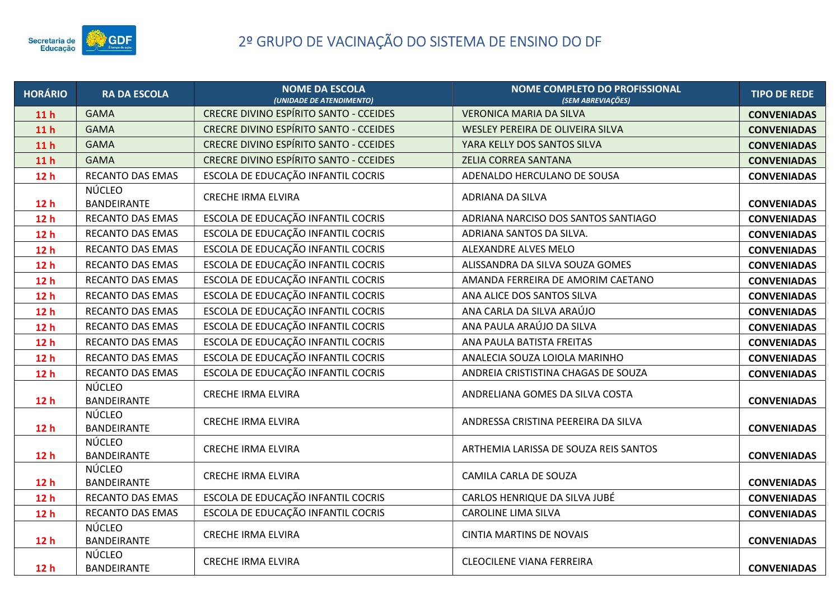

| <b>HORÁRIO</b>  | <b>RA DA ESCOLA</b>                 | <b>NOME DA ESCOLA</b><br>(UNIDADE DE ATENDIMENTO) | NOME COMPLETO DO PROFISSIONAL<br>(SEM ABREVIAÇÕES) | <b>TIPO DE REDE</b> |
|-----------------|-------------------------------------|---------------------------------------------------|----------------------------------------------------|---------------------|
| 11 <sub>h</sub> | <b>GAMA</b>                         | <b>CRECRE DIVINO ESPÍRITO SANTO - CCEIDES</b>     | <b>VERONICA MARIA DA SILVA</b>                     | <b>CONVENIADAS</b>  |
| 11 <sub>h</sub> | <b>GAMA</b>                         | <b>CRECRE DIVINO ESPÍRITO SANTO - CCEIDES</b>     | WESLEY PEREIRA DE OLIVEIRA SILVA                   | <b>CONVENIADAS</b>  |
| 11 <sub>h</sub> | <b>GAMA</b>                         | <b>CRECRE DIVINO ESPÍRITO SANTO - CCEIDES</b>     | YARA KELLY DOS SANTOS SILVA                        | <b>CONVENIADAS</b>  |
| 11 <sub>h</sub> | <b>GAMA</b>                         | <b>CRECRE DIVINO ESPÍRITO SANTO - CCEIDES</b>     | ZELIA CORREA SANTANA                               | <b>CONVENIADAS</b>  |
| 12 <sub>h</sub> | <b>RECANTO DAS EMAS</b>             | ESCOLA DE EDUCAÇÃO INFANTIL COCRIS                | ADENALDO HERCULANO DE SOUSA                        | <b>CONVENIADAS</b>  |
| 12h             | <b>NÚCLEO</b><br><b>BANDEIRANTE</b> | <b>CRECHE IRMA ELVIRA</b>                         | ADRIANA DA SILVA                                   | <b>CONVENIADAS</b>  |
| 12 <sub>h</sub> | <b>RECANTO DAS EMAS</b>             | ESCOLA DE EDUCAÇÃO INFANTIL COCRIS                | ADRIANA NARCISO DOS SANTOS SANTIAGO                | <b>CONVENIADAS</b>  |
| 12 <sub>h</sub> | <b>RECANTO DAS EMAS</b>             | ESCOLA DE EDUCAÇÃO INFANTIL COCRIS                | ADRIANA SANTOS DA SILVA.                           | <b>CONVENIADAS</b>  |
| 12 <sub>h</sub> | <b>RECANTO DAS EMAS</b>             | ESCOLA DE EDUCAÇÃO INFANTIL COCRIS                | ALEXANDRE ALVES MELO                               | <b>CONVENIADAS</b>  |
| 12h             | RECANTO DAS EMAS                    | ESCOLA DE EDUCAÇÃO INFANTIL COCRIS                | ALISSANDRA DA SILVA SOUZA GOMES                    | <b>CONVENIADAS</b>  |
| 12 <sub>h</sub> | RECANTO DAS EMAS                    | ESCOLA DE EDUCAÇÃO INFANTIL COCRIS                | AMANDA FERREIRA DE AMORIM CAETANO                  | <b>CONVENIADAS</b>  |
| 12h             | <b>RECANTO DAS EMAS</b>             | ESCOLA DE EDUCAÇÃO INFANTIL COCRIS                | ANA ALICE DOS SANTOS SILVA                         | <b>CONVENIADAS</b>  |
| 12 <sub>h</sub> | RECANTO DAS EMAS                    | ESCOLA DE EDUCAÇÃO INFANTIL COCRIS                | ANA CARLA DA SILVA ARAÚJO                          | <b>CONVENIADAS</b>  |
| 12 <sub>h</sub> | RECANTO DAS EMAS                    | ESCOLA DE EDUCAÇÃO INFANTIL COCRIS                | ANA PAULA ARAÚJO DA SILVA                          | <b>CONVENIADAS</b>  |
| 12 <sub>h</sub> | RECANTO DAS EMAS                    | ESCOLA DE EDUCAÇÃO INFANTIL COCRIS                | ANA PAULA BATISTA FREITAS                          | <b>CONVENIADAS</b>  |
| 12 <sub>h</sub> | RECANTO DAS EMAS                    | ESCOLA DE EDUCAÇÃO INFANTIL COCRIS                | ANALECIA SOUZA LOIOLA MARINHO                      | <b>CONVENIADAS</b>  |
| 12 <sub>h</sub> | RECANTO DAS EMAS                    | ESCOLA DE EDUCAÇÃO INFANTIL COCRIS                | ANDREIA CRISTISTINA CHAGAS DE SOUZA                | <b>CONVENIADAS</b>  |
| 12 <sub>h</sub> | <b>NÚCLEO</b><br>BANDEIRANTE        | <b>CRECHE IRMA ELVIRA</b>                         | ANDRELIANA GOMES DA SILVA COSTA                    | <b>CONVENIADAS</b>  |
| 12 <sub>h</sub> | <b>NÚCLEO</b><br>BANDEIRANTE        | <b>CRECHE IRMA ELVIRA</b>                         | ANDRESSA CRISTINA PEEREIRA DA SILVA                | <b>CONVENIADAS</b>  |
| 12 <sub>h</sub> | <b>NÚCLEO</b><br>BANDEIRANTE        | <b>CRECHE IRMA ELVIRA</b>                         | ARTHEMIA LARISSA DE SOUZA REIS SANTOS              | <b>CONVENIADAS</b>  |
| 12 <sub>h</sub> | NÚCLEO<br>BANDEIRANTE               | <b>CRECHE IRMA ELVIRA</b>                         | CAMILA CARLA DE SOUZA                              | <b>CONVENIADAS</b>  |
| 12 <sub>h</sub> | <b>RECANTO DAS EMAS</b>             | ESCOLA DE EDUCAÇÃO INFANTIL COCRIS                | CARLOS HENRIQUE DA SILVA JUBÉ                      | <b>CONVENIADAS</b>  |
| 12 <sub>h</sub> | RECANTO DAS EMAS                    | ESCOLA DE EDUCAÇÃO INFANTIL COCRIS                | CAROLINE LIMA SILVA                                | <b>CONVENIADAS</b>  |
| 12 <sub>h</sub> | <b>NÚCLEO</b><br>BANDEIRANTE        | <b>CRECHE IRMA ELVIRA</b>                         | <b>CINTIA MARTINS DE NOVAIS</b>                    | <b>CONVENIADAS</b>  |
| 12 <sub>h</sub> | NÚCLEO<br>BANDEIRANTE               | <b>CRECHE IRMA ELVIRA</b>                         | <b>CLEOCILENE VIANA FERREIRA</b>                   | <b>CONVENIADAS</b>  |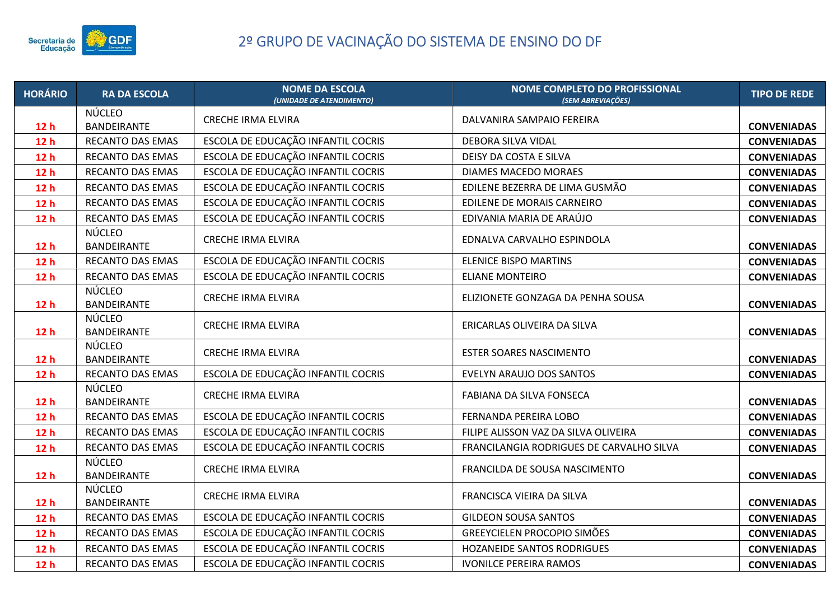

| <b>HORÁRIO</b>  | <b>RA DA ESCOLA</b>                 | <b>NOME DA ESCOLA</b><br>(UNIDADE DE ATENDIMENTO) | <b>NOME COMPLETO DO PROFISSIONAL</b><br>(SEM ABREVIAÇÕES) | <b>TIPO DE REDE</b> |
|-----------------|-------------------------------------|---------------------------------------------------|-----------------------------------------------------------|---------------------|
| 12 <sub>h</sub> | <b>NÚCLEO</b><br>BANDEIRANTE        | <b>CRECHE IRMA ELVIRA</b>                         | DALVANIRA SAMPAIO FEREIRA                                 | <b>CONVENIADAS</b>  |
| 12h             | RECANTO DAS EMAS                    | ESCOLA DE EDUCAÇÃO INFANTIL COCRIS                | DEBORA SILVA VIDAL                                        | <b>CONVENIADAS</b>  |
| 12 <sub>h</sub> | RECANTO DAS EMAS                    | ESCOLA DE EDUCAÇÃO INFANTIL COCRIS                | DEISY DA COSTA E SILVA                                    | <b>CONVENIADAS</b>  |
| 12h             | RECANTO DAS EMAS                    | ESCOLA DE EDUCAÇÃO INFANTIL COCRIS                | DIAMES MACEDO MORAES                                      | <b>CONVENIADAS</b>  |
| 12h             | RECANTO DAS EMAS                    | ESCOLA DE EDUCAÇÃO INFANTIL COCRIS                | EDILENE BEZERRA DE LIMA GUSMÃO                            | <b>CONVENIADAS</b>  |
| 12h             | <b>RECANTO DAS EMAS</b>             | ESCOLA DE EDUCAÇÃO INFANTIL COCRIS                | EDILENE DE MORAIS CARNEIRO                                | <b>CONVENIADAS</b>  |
| 12 <sub>h</sub> | RECANTO DAS EMAS                    | ESCOLA DE EDUCAÇÃO INFANTIL COCRIS                | EDIVANIA MARIA DE ARAÚJO                                  | <b>CONVENIADAS</b>  |
| 12 <sub>h</sub> | <b>NÚCLEO</b><br>BANDEIRANTE        | <b>CRECHE IRMA ELVIRA</b>                         | EDNALVA CARVALHO ESPINDOLA                                | <b>CONVENIADAS</b>  |
| 12 <sub>h</sub> | <b>RECANTO DAS EMAS</b>             | ESCOLA DE EDUCAÇÃO INFANTIL COCRIS                | <b>ELENICE BISPO MARTINS</b>                              | <b>CONVENIADAS</b>  |
| 12 <sub>h</sub> | RECANTO DAS EMAS                    | ESCOLA DE EDUCAÇÃO INFANTIL COCRIS                | <b>ELIANE MONTEIRO</b>                                    | <b>CONVENIADAS</b>  |
| 12 <sub>h</sub> | <b>NÚCLEO</b><br><b>BANDEIRANTE</b> | <b>CRECHE IRMA ELVIRA</b>                         | ELIZIONETE GONZAGA DA PENHA SOUSA                         | <b>CONVENIADAS</b>  |
| 12 <sub>h</sub> | <b>NÚCLEO</b><br>BANDEIRANTE        | <b>CRECHE IRMA ELVIRA</b>                         | ERICARLAS OLIVEIRA DA SILVA                               | <b>CONVENIADAS</b>  |
| 12 <sub>h</sub> | <b>NÚCLEO</b><br>BANDEIRANTE        | <b>CRECHE IRMA ELVIRA</b>                         | <b>ESTER SOARES NASCIMENTO</b>                            | <b>CONVENIADAS</b>  |
| 12 <sub>h</sub> | RECANTO DAS EMAS                    | ESCOLA DE EDUCAÇÃO INFANTIL COCRIS                | EVELYN ARAUJO DOS SANTOS                                  | <b>CONVENIADAS</b>  |
| 12h             | NÚCLEO<br>BANDEIRANTE               | <b>CRECHE IRMA ELVIRA</b>                         | FABIANA DA SILVA FONSECA                                  | <b>CONVENIADAS</b>  |
| 12 <sub>h</sub> | RECANTO DAS EMAS                    | ESCOLA DE EDUCAÇÃO INFANTIL COCRIS                | FERNANDA PEREIRA LOBO                                     | <b>CONVENIADAS</b>  |
| 12h             | <b>RECANTO DAS EMAS</b>             | ESCOLA DE EDUCAÇÃO INFANTIL COCRIS                | FILIPE ALISSON VAZ DA SILVA OLIVEIRA                      | <b>CONVENIADAS</b>  |
| 12 <sub>h</sub> | RECANTO DAS EMAS                    | ESCOLA DE EDUCAÇÃO INFANTIL COCRIS                | FRANCILANGIA RODRIGUES DE CARVALHO SILVA                  | <b>CONVENIADAS</b>  |
| 12 <sub>h</sub> | <b>NÚCLEO</b><br>BANDEIRANTE        | <b>CRECHE IRMA ELVIRA</b>                         | FRANCILDA DE SOUSA NASCIMENTO                             | <b>CONVENIADAS</b>  |
| 12 <sub>h</sub> | <b>NÚCLEO</b><br>BANDEIRANTE        | <b>CRECHE IRMA ELVIRA</b>                         | FRANCISCA VIEIRA DA SILVA                                 | <b>CONVENIADAS</b>  |
| 12 <sub>h</sub> | <b>RECANTO DAS EMAS</b>             | ESCOLA DE EDUCAÇÃO INFANTIL COCRIS                | <b>GILDEON SOUSA SANTOS</b>                               | <b>CONVENIADAS</b>  |
| 12 <sub>h</sub> | RECANTO DAS EMAS                    | ESCOLA DE EDUCAÇÃO INFANTIL COCRIS                | <b>GREEYCIELEN PROCOPIO SIMÕES</b>                        | <b>CONVENIADAS</b>  |
| 12 <sub>h</sub> | <b>RECANTO DAS EMAS</b>             | ESCOLA DE EDUCAÇÃO INFANTIL COCRIS                | HOZANEIDE SANTOS RODRIGUES                                | <b>CONVENIADAS</b>  |
| 12h             | RECANTO DAS EMAS                    | ESCOLA DE EDUCAÇÃO INFANTIL COCRIS                | <b>IVONILCE PEREIRA RAMOS</b>                             | <b>CONVENIADAS</b>  |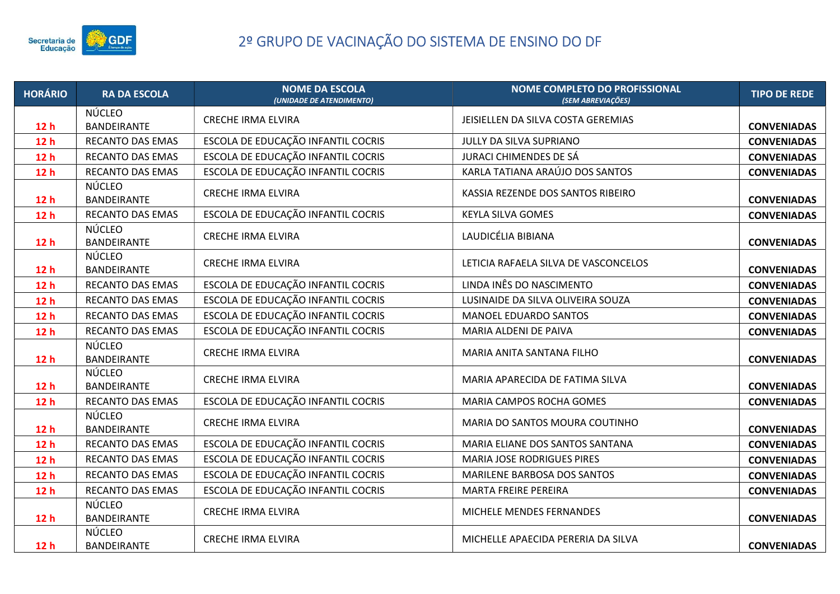

| <b>HORÁRIO</b>  | <b>RA DA ESCOLA</b>                 | <b>NOME DA ESCOLA</b><br>(UNIDADE DE ATENDIMENTO) | <b>NOME COMPLETO DO PROFISSIONAL</b><br>(SEM ABREVIAÇÕES) | <b>TIPO DE REDE</b> |
|-----------------|-------------------------------------|---------------------------------------------------|-----------------------------------------------------------|---------------------|
| 12h             | NÚCLEO<br><b>BANDEIRANTE</b>        | <b>CRECHE IRMA ELVIRA</b>                         | JEISIELLEN DA SILVA COSTA GEREMIAS                        | <b>CONVENIADAS</b>  |
| 12h             | <b>RECANTO DAS EMAS</b>             | ESCOLA DE EDUCAÇÃO INFANTIL COCRIS                | JULLY DA SILVA SUPRIANO                                   | <b>CONVENIADAS</b>  |
| 12 <sub>h</sub> | RECANTO DAS EMAS                    | ESCOLA DE EDUCAÇÃO INFANTIL COCRIS                | JURACI CHIMENDES DE SÁ                                    | <b>CONVENIADAS</b>  |
| 12 <sub>h</sub> | RECANTO DAS EMAS                    | ESCOLA DE EDUCAÇÃO INFANTIL COCRIS                | KARLA TATIANA ARAÚJO DOS SANTOS                           | <b>CONVENIADAS</b>  |
| 12 <sub>h</sub> | NÚCLEO<br>BANDEIRANTE               | <b>CRECHE IRMA ELVIRA</b>                         | KASSIA REZENDE DOS SANTOS RIBEIRO                         | <b>CONVENIADAS</b>  |
| 12 <sub>h</sub> | <b>RECANTO DAS EMAS</b>             | ESCOLA DE EDUCAÇÃO INFANTIL COCRIS                | <b>KEYLA SILVA GOMES</b>                                  | <b>CONVENIADAS</b>  |
| 12 <sub>h</sub> | <b>NÚCLEO</b><br>BANDEIRANTE        | <b>CRECHE IRMA ELVIRA</b>                         | LAUDICÉLIA BIBIANA                                        | <b>CONVENIADAS</b>  |
| 12 <sub>h</sub> | <b>NÚCLEO</b><br>BANDEIRANTE        | <b>CRECHE IRMA ELVIRA</b>                         | LETICIA RAFAELA SILVA DE VASCONCELOS                      | <b>CONVENIADAS</b>  |
| 12h             | RECANTO DAS EMAS                    | ESCOLA DE EDUCAÇÃO INFANTIL COCRIS                | LINDA INÊS DO NASCIMENTO                                  | <b>CONVENIADAS</b>  |
| 12 <sub>h</sub> | RECANTO DAS EMAS                    | ESCOLA DE EDUCAÇÃO INFANTIL COCRIS                | LUSINAIDE DA SILVA OLIVEIRA SOUZA                         | <b>CONVENIADAS</b>  |
| 12 <sub>h</sub> | RECANTO DAS EMAS                    | ESCOLA DE EDUCAÇÃO INFANTIL COCRIS                | MANOEL EDUARDO SANTOS                                     | <b>CONVENIADAS</b>  |
| 12h             | RECANTO DAS EMAS                    | ESCOLA DE EDUCAÇÃO INFANTIL COCRIS                | MARIA ALDENI DE PAIVA                                     | <b>CONVENIADAS</b>  |
| 12h             | <b>NÚCLEO</b><br><b>BANDEIRANTE</b> | <b>CRECHE IRMA ELVIRA</b>                         | MARIA ANITA SANTANA FILHO                                 | <b>CONVENIADAS</b>  |
| 12h             | NÚCLEO<br>BANDEIRANTE               | <b>CRECHE IRMA ELVIRA</b>                         | MARIA APARECIDA DE FATIMA SILVA                           | <b>CONVENIADAS</b>  |
| 12h             | RECANTO DAS EMAS                    | ESCOLA DE EDUCAÇÃO INFANTIL COCRIS                | MARIA CAMPOS ROCHA GOMES                                  | <b>CONVENIADAS</b>  |
| 12 <sub>h</sub> | <b>NÚCLEO</b><br>BANDEIRANTE        | <b>CRECHE IRMA ELVIRA</b>                         | MARIA DO SANTOS MOURA COUTINHO                            | <b>CONVENIADAS</b>  |
| 12 <sub>h</sub> | RECANTO DAS EMAS                    | ESCOLA DE EDUCAÇÃO INFANTIL COCRIS                | MARIA ELIANE DOS SANTOS SANTANA                           | <b>CONVENIADAS</b>  |
| 12h             | RECANTO DAS EMAS                    | ESCOLA DE EDUCAÇÃO INFANTIL COCRIS                | <b>MARIA JOSE RODRIGUES PIRES</b>                         | <b>CONVENIADAS</b>  |
| 12h             | RECANTO DAS EMAS                    | ESCOLA DE EDUCAÇÃO INFANTIL COCRIS                | MARILENE BARBOSA DOS SANTOS                               | <b>CONVENIADAS</b>  |
| 12 <sub>h</sub> | RECANTO DAS EMAS                    | ESCOLA DE EDUCAÇÃO INFANTIL COCRIS                | MARTA FREIRE PEREIRA                                      | <b>CONVENIADAS</b>  |
| 12h             | NÚCLEO<br>BANDEIRANTE               | <b>CRECHE IRMA ELVIRA</b>                         | MICHELE MENDES FERNANDES                                  | <b>CONVENIADAS</b>  |
| 12 <sub>h</sub> | <b>NÚCLEO</b><br>BANDEIRANTE        | <b>CRECHE IRMA ELVIRA</b>                         | MICHELLE APAECIDA PERERIA DA SILVA                        | <b>CONVENIADAS</b>  |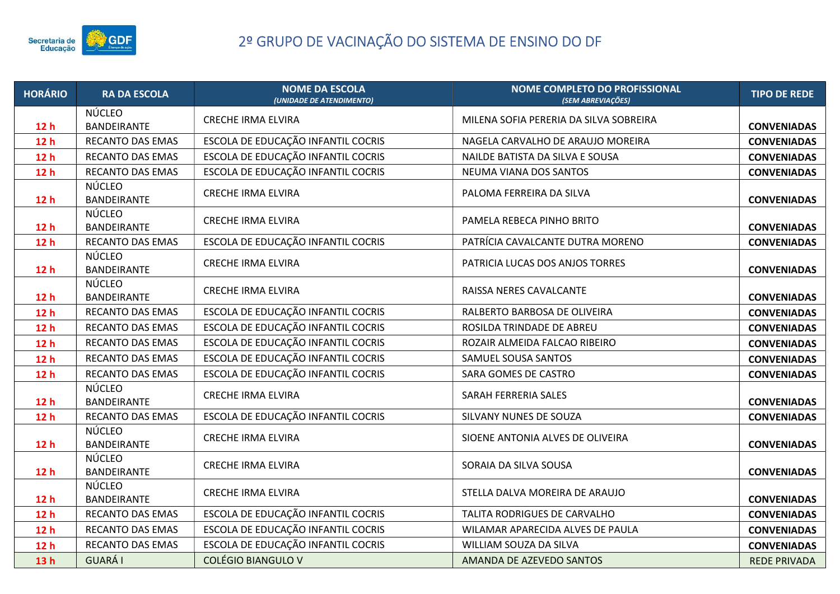

| <b>HORÁRIO</b>  | <b>RA DA ESCOLA</b>          | <b>NOME DA ESCOLA</b><br>(UNIDADE DE ATENDIMENTO) | <b>NOME COMPLETO DO PROFISSIONAL</b><br>(SEM ABREVIAÇÕES) | <b>TIPO DE REDE</b> |
|-----------------|------------------------------|---------------------------------------------------|-----------------------------------------------------------|---------------------|
| 12 <sub>h</sub> | NÚCLEO<br><b>BANDEIRANTE</b> | <b>CRECHE IRMA ELVIRA</b>                         | MILENA SOFIA PERERIA DA SILVA SOBREIRA                    | <b>CONVENIADAS</b>  |
| 12h             | RECANTO DAS EMAS             | ESCOLA DE EDUCAÇÃO INFANTIL COCRIS                | NAGELA CARVALHO DE ARAUJO MOREIRA                         | <b>CONVENIADAS</b>  |
| 12 <sub>h</sub> | RECANTO DAS EMAS             | ESCOLA DE EDUCAÇÃO INFANTIL COCRIS                | NAILDE BATISTA DA SILVA E SOUSA                           | <b>CONVENIADAS</b>  |
| 12 <sub>h</sub> | RECANTO DAS EMAS             | ESCOLA DE EDUCAÇÃO INFANTIL COCRIS                | NEUMA VIANA DOS SANTOS                                    | <b>CONVENIADAS</b>  |
| 12h             | <b>NÚCLEO</b><br>BANDEIRANTE | <b>CRECHE IRMA ELVIRA</b>                         | PALOMA FERREIRA DA SILVA                                  | <b>CONVENIADAS</b>  |
| 12 <sub>h</sub> | <b>NÚCLEO</b><br>BANDEIRANTE | <b>CRECHE IRMA ELVIRA</b>                         | PAMELA REBECA PINHO BRITO                                 | <b>CONVENIADAS</b>  |
| 12h             | RECANTO DAS EMAS             | ESCOLA DE EDUCAÇÃO INFANTIL COCRIS                | PATRÍCIA CAVALCANTE DUTRA MORENO                          | <b>CONVENIADAS</b>  |
| 12 <sub>h</sub> | <b>NÚCLEO</b><br>BANDEIRANTE | <b>CRECHE IRMA ELVIRA</b>                         | PATRICIA LUCAS DOS ANJOS TORRES                           | <b>CONVENIADAS</b>  |
| 12h             | <b>NÚCLEO</b><br>BANDEIRANTE | <b>CRECHE IRMA ELVIRA</b>                         | RAISSA NERES CAVALCANTE                                   | <b>CONVENIADAS</b>  |
| 12h             | RECANTO DAS EMAS             | ESCOLA DE EDUCAÇÃO INFANTIL COCRIS                | RALBERTO BARBOSA DE OLIVEIRA                              | <b>CONVENIADAS</b>  |
| 12 <sub>h</sub> | RECANTO DAS EMAS             | ESCOLA DE EDUCAÇÃO INFANTIL COCRIS                | ROSILDA TRINDADE DE ABREU                                 | <b>CONVENIADAS</b>  |
| 12h             | <b>RECANTO DAS EMAS</b>      | ESCOLA DE EDUCAÇÃO INFANTIL COCRIS                | ROZAIR ALMEIDA FALCAO RIBEIRO                             | <b>CONVENIADAS</b>  |
| 12 <sub>h</sub> | RECANTO DAS EMAS             | ESCOLA DE EDUCAÇÃO INFANTIL COCRIS                | SAMUEL SOUSA SANTOS                                       | <b>CONVENIADAS</b>  |
| 12h             | RECANTO DAS EMAS             | ESCOLA DE EDUCAÇÃO INFANTIL COCRIS                | SARA GOMES DE CASTRO                                      | <b>CONVENIADAS</b>  |
| 12h             | <b>NÚCLEO</b><br>BANDEIRANTE | <b>CRECHE IRMA ELVIRA</b>                         | SARAH FERRERIA SALES                                      | <b>CONVENIADAS</b>  |
| 12 <sub>h</sub> | <b>RECANTO DAS EMAS</b>      | ESCOLA DE EDUCAÇÃO INFANTIL COCRIS                | SILVANY NUNES DE SOUZA                                    | <b>CONVENIADAS</b>  |
| 12 <sub>h</sub> | <b>NÚCLEO</b><br>BANDEIRANTE | <b>CRECHE IRMA ELVIRA</b>                         | SIOENE ANTONIA ALVES DE OLIVEIRA                          | <b>CONVENIADAS</b>  |
| 12h             | NÚCLEO<br>BANDEIRANTE        | <b>CRECHE IRMA ELVIRA</b>                         | SORAIA DA SILVA SOUSA                                     | <b>CONVENIADAS</b>  |
| 12 <sub>h</sub> | <b>NÚCLEO</b><br>BANDEIRANTE | <b>CRECHE IRMA ELVIRA</b>                         | STELLA DALVA MOREIRA DE ARAUJO                            | <b>CONVENIADAS</b>  |
| 12 <sub>h</sub> | RECANTO DAS EMAS             | ESCOLA DE EDUCAÇÃO INFANTIL COCRIS                | TALITA RODRIGUES DE CARVALHO                              | <b>CONVENIADAS</b>  |
| 12 <sub>h</sub> | RECANTO DAS EMAS             | ESCOLA DE EDUCAÇÃO INFANTIL COCRIS                | WILAMAR APARECIDA ALVES DE PAULA                          | <b>CONVENIADAS</b>  |
| 12h             | <b>RECANTO DAS EMAS</b>      | ESCOLA DE EDUCAÇÃO INFANTIL COCRIS                | WILLIAM SOUZA DA SILVA                                    | <b>CONVENIADAS</b>  |
| 13h             | <b>GUARÁ I</b>               | <b>COLÉGIO BIANGULO V</b>                         | AMANDA DE AZEVEDO SANTOS                                  | <b>REDE PRIVADA</b> |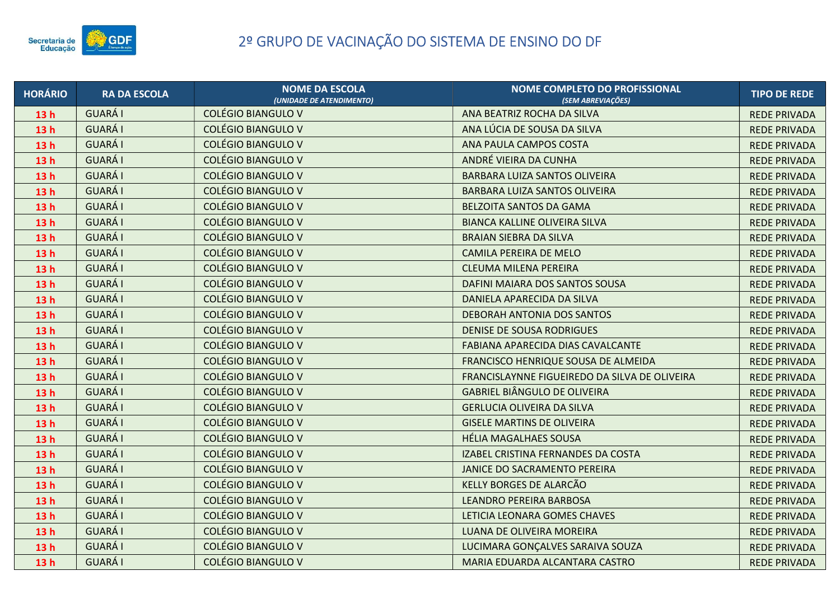

| <b>HORÁRIO</b>  | <b>RA DA ESCOLA</b> | <b>NOME DA ESCOLA</b><br>(UNIDADE DE ATENDIMENTO) | <b>NOME COMPLETO DO PROFISSIONAL</b><br>(SEM ABREVIAÇÕES) | <b>TIPO DE REDE</b> |
|-----------------|---------------------|---------------------------------------------------|-----------------------------------------------------------|---------------------|
| 13h             | <b>GUARÁ I</b>      | <b>COLÉGIO BIANGULO V</b>                         | ANA BEATRIZ ROCHA DA SILVA                                | <b>REDE PRIVADA</b> |
| 13h             | <b>GUARÁI</b>       | <b>COLÉGIO BIANGULO V</b>                         | ANA LÚCIA DE SOUSA DA SILVA                               | <b>REDE PRIVADA</b> |
| 13h             | <b>GUARÁI</b>       | <b>COLÉGIO BIANGULO V</b>                         | ANA PAULA CAMPOS COSTA                                    | <b>REDE PRIVADA</b> |
| 13h             | <b>GUARÁ I</b>      | <b>COLÉGIO BIANGULO V</b>                         | ANDRÉ VIEIRA DA CUNHA                                     | <b>REDE PRIVADA</b> |
| 13h             | <b>GUARÁ I</b>      | <b>COLÉGIO BIANGULO V</b>                         | BARBARA LUIZA SANTOS OLIVEIRA                             | <b>REDE PRIVADA</b> |
| 13h             | <b>GUARÁI</b>       | <b>COLÉGIO BIANGULO V</b>                         | BARBARA LUIZA SANTOS OLIVEIRA                             | <b>REDE PRIVADA</b> |
| 13h             | <b>GUARÁI</b>       | <b>COLÉGIO BIANGULO V</b>                         | <b>BELZOITA SANTOS DA GAMA</b>                            | <b>REDE PRIVADA</b> |
| 13h             | <b>GUARÁ I</b>      | <b>COLÉGIO BIANGULO V</b>                         | <b>BIANCA KALLINE OLIVEIRA SILVA</b>                      | <b>REDE PRIVADA</b> |
| 13h             | <b>GUARÁI</b>       | <b>COLÉGIO BIANGULO V</b>                         | <b>BRAIAN SIEBRA DA SILVA</b>                             | <b>REDE PRIVADA</b> |
| 13 <sub>h</sub> | <b>GUARÁI</b>       | <b>COLÉGIO BIANGULO V</b>                         | <b>CAMILA PEREIRA DE MELO</b>                             | <b>REDE PRIVADA</b> |
| 13h             | <b>GUARÁI</b>       | <b>COLÉGIO BIANGULO V</b>                         | <b>CLEUMA MILENA PEREIRA</b>                              | <b>REDE PRIVADA</b> |
| 13h             | <b>GUARÁ I</b>      | <b>COLÉGIO BIANGULO V</b>                         | DAFINI MAIARA DOS SANTOS SOUSA                            | <b>REDE PRIVADA</b> |
| 13h             | <b>GUARÁI</b>       | <b>COLÉGIO BIANGULO V</b>                         | DANIELA APARECIDA DA SILVA                                | <b>REDE PRIVADA</b> |
| 13h             | <b>GUARÁI</b>       | <b>COLÉGIO BIANGULO V</b>                         | DEBORAH ANTONIA DOS SANTOS                                | <b>REDE PRIVADA</b> |
| 13h             | <b>GUARÁI</b>       | <b>COLÉGIO BIANGULO V</b>                         | <b>DENISE DE SOUSA RODRIGUES</b>                          | <b>REDE PRIVADA</b> |
| 13h             | <b>GUARÁI</b>       | <b>COLÉGIO BIANGULO V</b>                         | FABIANA APARECIDA DIAS CAVALCANTE                         | <b>REDE PRIVADA</b> |
| 13h             | <b>GUARÁI</b>       | <b>COLÉGIO BIANGULO V</b>                         | FRANCISCO HENRIQUE SOUSA DE ALMEIDA                       | <b>REDE PRIVADA</b> |
| 13h             | <b>GUARÁI</b>       | <b>COLÉGIO BIANGULO V</b>                         | FRANCISLAYNNE FIGUEIREDO DA SILVA DE OLIVEIRA             | <b>REDE PRIVADA</b> |
| 13h             | <b>GUARÁ I</b>      | <b>COLÉGIO BIANGULO V</b>                         | <b>GABRIEL BIÂNGULO DE OLIVEIRA</b>                       | <b>REDE PRIVADA</b> |
| 13h             | <b>GUARÁI</b>       | <b>COLÉGIO BIANGULO V</b>                         | <b>GERLUCIA OLIVEIRA DA SILVA</b>                         | <b>REDE PRIVADA</b> |
| 13h             | <b>GUARÁI</b>       | <b>COLÉGIO BIANGULO V</b>                         | <b>GISELE MARTINS DE OLIVEIRA</b>                         | <b>REDE PRIVADA</b> |
| 13h             | <b>GUARÁ I</b>      | <b>COLÉGIO BIANGULO V</b>                         | <b>HÉLIA MAGALHAES SOUSA</b>                              | <b>REDE PRIVADA</b> |
| 13h             | <b>GUARÁI</b>       | <b>COLÉGIO BIANGULO V</b>                         | IZABEL CRISTINA FERNANDES DA COSTA                        | <b>REDE PRIVADA</b> |
| 13h             | <b>GUARÁI</b>       | <b>COLÉGIO BIANGULO V</b>                         | JANICE DO SACRAMENTO PEREIRA                              | <b>REDE PRIVADA</b> |
| 13h             | <b>GUARÁI</b>       | <b>COLÉGIO BIANGULO V</b>                         | KELLY BORGES DE ALARCÃO                                   | <b>REDE PRIVADA</b> |
| 13h             | <b>GUARÁI</b>       | <b>COLÉGIO BIANGULO V</b>                         | <b>LEANDRO PEREIRA BARBOSA</b>                            | <b>REDE PRIVADA</b> |
| 13h             | <b>GUARÁ I</b>      | <b>COLÉGIO BIANGULO V</b>                         | LETICIA LEONARA GOMES CHAVES                              | <b>REDE PRIVADA</b> |
| 13h             | <b>GUARÁI</b>       | <b>COLÉGIO BIANGULO V</b>                         | LUANA DE OLIVEIRA MOREIRA                                 | <b>REDE PRIVADA</b> |
| 13h             | <b>GUARÁ I</b>      | <b>COLÉGIO BIANGULO V</b>                         | LUCIMARA GONÇALVES SARAIVA SOUZA                          | <b>REDE PRIVADA</b> |
| 13h             | <b>GUARÁ I</b>      | <b>COLÉGIO BIANGULO V</b>                         | MARIA EDUARDA ALCANTARA CASTRO                            | <b>REDE PRIVADA</b> |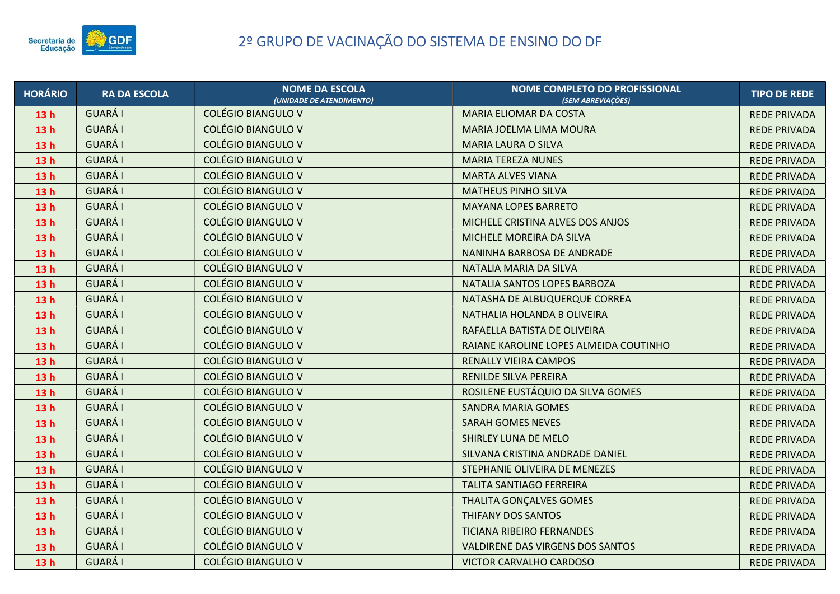

| <b>HORÁRIO</b>  | <b>RA DA ESCOLA</b> | <b>NOME DA ESCOLA</b><br>(UNIDADE DE ATENDIMENTO) | NOME COMPLETO DO PROFISSIONAL<br>(SEM ABREVIACÕES) | <b>TIPO DE REDE</b> |
|-----------------|---------------------|---------------------------------------------------|----------------------------------------------------|---------------------|
| 13 <sub>h</sub> | GUARÁ I             | <b>COLÉGIO BIANGULO V</b>                         | <b>MARIA ELIOMAR DA COSTA</b>                      | <b>REDE PRIVADA</b> |
| 13 <sub>h</sub> | <b>GUARÁI</b>       | <b>COLÉGIO BIANGULO V</b>                         | MARIA JOELMA LIMA MOURA                            | <b>REDE PRIVADA</b> |
| 13h             | <b>GUARÁI</b>       | <b>COLÉGIO BIANGULO V</b>                         | <b>MARIA LAURA O SILVA</b>                         | <b>REDE PRIVADA</b> |
| 13h             | <b>GUARÁI</b>       | <b>COLÉGIO BIANGULO V</b>                         | <b>MARIA TEREZA NUNES</b>                          | <b>REDE PRIVADA</b> |
| 13 <sub>h</sub> | GUARÁ I             | <b>COLÉGIO BIANGULO V</b>                         | <b>MARTA ALVES VIANA</b>                           | <b>REDE PRIVADA</b> |
| 13h             | <b>GUARÁ I</b>      | <b>COLÉGIO BIANGULO V</b>                         | <b>MATHEUS PINHO SILVA</b>                         | <b>REDE PRIVADA</b> |
| 13 <sub>h</sub> | <b>GUARÁI</b>       | <b>COLÉGIO BIANGULO V</b>                         | <b>MAYANA LOPES BARRETO</b>                        | <b>REDE PRIVADA</b> |
| 13h             | <b>GUARÁ I</b>      | <b>COLÉGIO BIANGULO V</b>                         | MICHELE CRISTINA ALVES DOS ANJOS                   | <b>REDE PRIVADA</b> |
| 13h             | <b>GUARÁI</b>       | <b>COLÉGIO BIANGULO V</b>                         | MICHELE MOREIRA DA SILVA                           | <b>REDE PRIVADA</b> |
| 13h             | <b>GUARÁI</b>       | <b>COLÉGIO BIANGULO V</b>                         | NANINHA BARBOSA DE ANDRADE                         | <b>REDE PRIVADA</b> |
| 13h             | GUARÁ I             | <b>COLÉGIO BIANGULO V</b>                         | NATALIA MARIA DA SILVA                             | <b>REDE PRIVADA</b> |
| 13h             | <b>GUARÁ I</b>      | <b>COLÉGIO BIANGULO V</b>                         | NATALIA SANTOS LOPES BARBOZA                       | <b>REDE PRIVADA</b> |
| 13 <sub>h</sub> | GUARÁ I             | <b>COLÉGIO BIANGULO V</b>                         | NATASHA DE ALBUQUERQUE CORREA                      | <b>REDE PRIVADA</b> |
| 13h             | <b>GUARÁI</b>       | <b>COLÉGIO BIANGULO V</b>                         | NATHALIA HOLANDA B OLIVEIRA                        | <b>REDE PRIVADA</b> |
| 13h             | <b>GUARÁ I</b>      | <b>COLÉGIO BIANGULO V</b>                         | RAFAELLA BATISTA DE OLIVEIRA                       | <b>REDE PRIVADA</b> |
| 13h             | GUARÁ I             | <b>COLÉGIO BIANGULO V</b>                         | RAIANE KAROLINE LOPES ALMEIDA COUTINHO             | <b>REDE PRIVADA</b> |
| 13 <sub>h</sub> | <b>GUARÁ I</b>      | <b>COLÉGIO BIANGULO V</b>                         | <b>RENALLY VIEIRA CAMPOS</b>                       | <b>REDE PRIVADA</b> |
| 13h             | GUARÁ I             | <b>COLÉGIO BIANGULO V</b>                         | RENILDE SILVA PEREIRA                              | <b>REDE PRIVADA</b> |
| 13 <sub>h</sub> | <b>GUARÁ I</b>      | <b>COLÉGIO BIANGULO V</b>                         | ROSILENE EUSTÁQUIO DA SILVA GOMES                  | <b>REDE PRIVADA</b> |
| 13h             | <b>GUARÁ I</b>      | <b>COLÉGIO BIANGULO V</b>                         | <b>SANDRA MARIA GOMES</b>                          | <b>REDE PRIVADA</b> |
| 13 <sub>h</sub> | GUARÁ I             | <b>COLÉGIO BIANGULO V</b>                         | <b>SARAH GOMES NEVES</b>                           | <b>REDE PRIVADA</b> |
| 13h             | <b>GUARÁI</b>       | <b>COLÉGIO BIANGULO V</b>                         | SHIRLEY LUNA DE MELO                               | <b>REDE PRIVADA</b> |
| 13h             | <b>GUARÁ I</b>      | <b>COLÉGIO BIANGULO V</b>                         | SILVANA CRISTINA ANDRADE DANIEL                    | <b>REDE PRIVADA</b> |
| 13h             | GUARÁ I             | <b>COLÉGIO BIANGULO V</b>                         | STEPHANIE OLIVEIRA DE MENEZES                      | <b>REDE PRIVADA</b> |
| 13h             | <b>GUARÁI</b>       | <b>COLÉGIO BIANGULO V</b>                         | TALITA SANTIAGO FERREIRA                           | <b>REDE PRIVADA</b> |
| 13h             | GUARÁ I             | <b>COLÉGIO BIANGULO V</b>                         | THALITA GONÇALVES GOMES                            | <b>REDE PRIVADA</b> |
| 13h             | <b>GUARÁ I</b>      | <b>COLÉGIO BIANGULO V</b>                         | THIFANY DOS SANTOS                                 | <b>REDE PRIVADA</b> |
| 13 <sub>h</sub> | <b>GUARÁI</b>       | <b>COLÉGIO BIANGULO V</b>                         | TICIANA RIBEIRO FERNANDES                          | <b>REDE PRIVADA</b> |
| 13 <sub>h</sub> | <b>GUARÁI</b>       | <b>COLÉGIO BIANGULO V</b>                         | <b>VALDIRENE DAS VIRGENS DOS SANTOS</b>            | <b>REDE PRIVADA</b> |
| 13h             | GUARÁ I             | <b>COLÉGIO BIANGULO V</b>                         | VICTOR CARVALHO CARDOSO                            | <b>REDE PRIVADA</b> |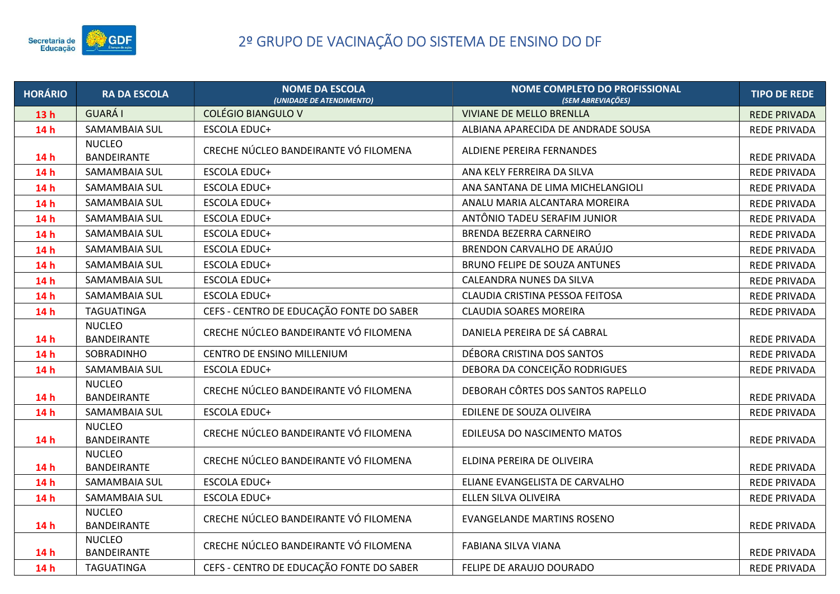

| <b>HORÁRIO</b>  | <b>RA DA ESCOLA</b>                 | <b>NOME DA ESCOLA</b><br>(UNIDADE DE ATENDIMENTO) | <b>NOME COMPLETO DO PROFISSIONAL</b><br>(SEM ABREVIAÇÕES) | <b>TIPO DE REDE</b> |
|-----------------|-------------------------------------|---------------------------------------------------|-----------------------------------------------------------|---------------------|
| 13h             | <b>GUARÁI</b>                       | <b>COLÉGIO BIANGULO V</b>                         | <b>VIVIANE DE MELLO BRENLLA</b>                           | <b>REDE PRIVADA</b> |
| 14h             | SAMAMBAIA SUL                       | <b>ESCOLA EDUC+</b>                               | ALBIANA APARECIDA DE ANDRADE SOUSA                        | <b>REDE PRIVADA</b> |
| 14h             | <b>NUCLEO</b><br><b>BANDEIRANTE</b> | CRECHE NÚCLEO BANDEIRANTE VÓ FILOMENA             | ALDIENE PEREIRA FERNANDES                                 | <b>REDE PRIVADA</b> |
| 14 h            | SAMAMBAIA SUL                       | <b>ESCOLA EDUC+</b>                               | ANA KELY FERREIRA DA SILVA                                | <b>REDE PRIVADA</b> |
| 14 <sub>h</sub> | SAMAMBAIA SUL                       | <b>ESCOLA EDUC+</b>                               | ANA SANTANA DE LIMA MICHELANGIOLI                         | <b>REDE PRIVADA</b> |
| 14h             | SAMAMBAIA SUL                       | ESCOLA EDUC+                                      | ANALU MARIA ALCANTARA MOREIRA                             | REDE PRIVADA        |
| 14h             | SAMAMBAIA SUL                       | <b>ESCOLA EDUC+</b>                               | ANTÔNIO TADEU SERAFIM JUNIOR                              | <b>REDE PRIVADA</b> |
| 14h             | SAMAMBAIA SUL                       | <b>ESCOLA EDUC+</b>                               | <b>BRENDA BEZERRA CARNEIRO</b>                            | <b>REDE PRIVADA</b> |
| 14h             | SAMAMBAIA SUL                       | <b>ESCOLA EDUC+</b>                               | BRENDON CARVALHO DE ARAÚJO                                | <b>REDE PRIVADA</b> |
| 14h             | SAMAMBAIA SUL                       | <b>ESCOLA EDUC+</b>                               | <b>BRUNO FELIPE DE SOUZA ANTUNES</b>                      | <b>REDE PRIVADA</b> |
| 14h             | SAMAMBAIA SUL                       | <b>ESCOLA EDUC+</b>                               | CALEANDRA NUNES DA SILVA                                  | <b>REDE PRIVADA</b> |
| 14h             | SAMAMBAIA SUL                       | <b>ESCOLA EDUC+</b>                               | CLAUDIA CRISTINA PESSOA FEITOSA                           | <b>REDE PRIVADA</b> |
| 14h             | <b>TAGUATINGA</b>                   | CEFS - CENTRO DE EDUCAÇÃO FONTE DO SABER          | CLAUDIA SOARES MOREIRA                                    | <b>REDE PRIVADA</b> |
| 14h             | <b>NUCLEO</b><br><b>BANDEIRANTE</b> | CRECHE NÚCLEO BANDEIRANTE VÓ FILOMENA             | DANIELA PEREIRA DE SÁ CABRAL                              | <b>REDE PRIVADA</b> |
| 14h             | SOBRADINHO                          | CENTRO DE ENSINO MILLENIUM                        | DÉBORA CRISTINA DOS SANTOS                                | <b>REDE PRIVADA</b> |
| 14h             | SAMAMBAIA SUL                       | <b>ESCOLA EDUC+</b>                               | DEBORA DA CONCEIÇÃO RODRIGUES                             | <b>REDE PRIVADA</b> |
| 14h             | <b>NUCLEO</b><br><b>BANDEIRANTE</b> | CRECHE NÚCLEO BANDEIRANTE VÓ FILOMENA             | DEBORAH CÔRTES DOS SANTOS RAPELLO                         | <b>REDE PRIVADA</b> |
| 14h             | SAMAMBAIA SUL                       | <b>ESCOLA EDUC+</b>                               | EDILENE DE SOUZA OLIVEIRA                                 | <b>REDE PRIVADA</b> |
| 14h             | <b>NUCLEO</b><br>BANDEIRANTE        | CRECHE NÚCLEO BANDEIRANTE VÓ FILOMENA             | EDILEUSA DO NASCIMENTO MATOS                              | <b>REDE PRIVADA</b> |
| 14h             | <b>NUCLEO</b><br>BANDEIRANTE        | CRECHE NÚCLEO BANDEIRANTE VÓ FILOMENA             | ELDINA PEREIRA DE OLIVEIRA                                | <b>REDE PRIVADA</b> |
| 14h             | SAMAMBAIA SUL                       | <b>ESCOLA EDUC+</b>                               | ELIANE EVANGELISTA DE CARVALHO                            | <b>REDE PRIVADA</b> |
| 14h             | SAMAMBAIA SUL                       | <b>ESCOLA EDUC+</b>                               | ELLEN SILVA OLIVEIRA                                      | <b>REDE PRIVADA</b> |
| 14h             | <b>NUCLEO</b><br>BANDEIRANTE        | CRECHE NÚCLEO BANDEIRANTE VÓ FILOMENA             | <b>EVANGELANDE MARTINS ROSENO</b>                         | <b>REDE PRIVADA</b> |
| 14h             | <b>NUCLEO</b><br><b>BANDEIRANTE</b> | CRECHE NÚCLEO BANDEIRANTE VÓ FILOMENA             | FABIANA SILVA VIANA                                       | REDE PRIVADA        |
| 14h             | <b>TAGUATINGA</b>                   | CEFS - CENTRO DE EDUCAÇÃO FONTE DO SABER          | FELIPE DE ARAUJO DOURADO                                  | <b>REDE PRIVADA</b> |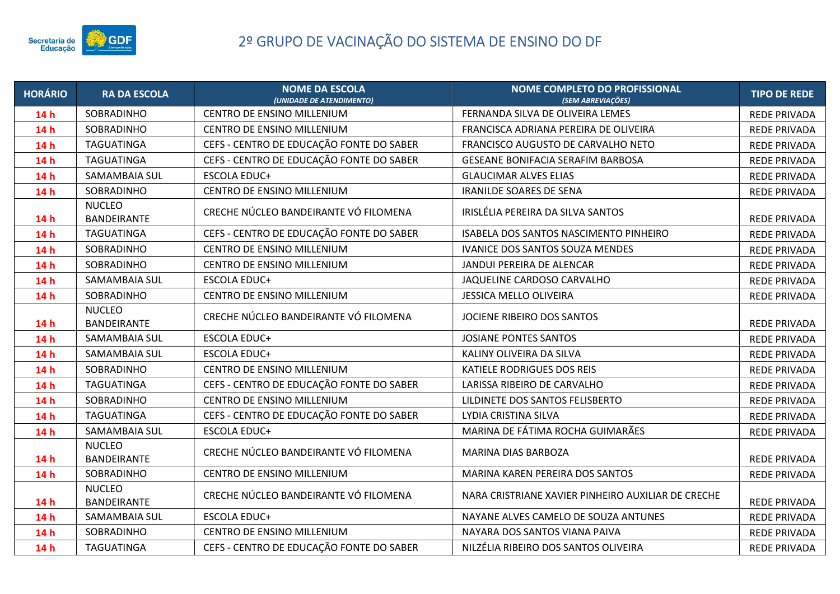

| <b>HORÁRIO</b> | <b>RA DA ESCOLA</b>                 | <b>NOME DA ESCOLA</b><br>(UNIDADE DE ATENDIMENTO) | <b>NOME COMPLETO DO PROFISSIONAL</b><br>(SEM ABREVIAÇÕES) | <b>TIPO DE REDE</b> |
|----------------|-------------------------------------|---------------------------------------------------|-----------------------------------------------------------|---------------------|
| 14h            | SOBRADINHO                          | CENTRO DE ENSINO MILLENIUM                        | FERNANDA SILVA DE OLIVEIRA LEMES                          | <b>REDE PRIVADA</b> |
| 14h            | SOBRADINHO                          | CENTRO DE ENSINO MILLENIUM                        | FRANCISCA ADRIANA PEREIRA DE OLIVEIRA                     | <b>REDE PRIVADA</b> |
| 14h            | <b>TAGUATINGA</b>                   | CEFS - CENTRO DE EDUCAÇÃO FONTE DO SABER          | FRANCISCO AUGUSTO DE CARVALHO NETO                        | <b>REDE PRIVADA</b> |
| 14h            | <b>TAGUATINGA</b>                   | CEFS - CENTRO DE EDUCAÇÃO FONTE DO SABER          | GESEANE BONIFACIA SERAFIM BARBOSA                         | <b>REDE PRIVADA</b> |
| 14h            | SAMAMBAIA SUL                       | <b>ESCOLA EDUC+</b>                               | <b>GLAUCIMAR ALVES ELIAS</b>                              | <b>REDE PRIVADA</b> |
| 14h            | SOBRADINHO                          | CENTRO DE ENSINO MILLENIUM                        | <b>IRANILDE SOARES DE SENA</b>                            | REDE PRIVADA        |
| 14h            | <b>NUCLEO</b><br><b>BANDEIRANTE</b> | CRECHE NÚCLEO BANDEIRANTE VÓ FILOMENA             | IRISLÉLIA PEREIRA DA SILVA SANTOS                         | <b>REDE PRIVADA</b> |
| 14h            | <b>TAGUATINGA</b>                   | CEFS - CENTRO DE EDUCAÇÃO FONTE DO SABER          | ISABELA DOS SANTOS NASCIMENTO PINHEIRO                    | <b>REDE PRIVADA</b> |
| 14h            | SOBRADINHO                          | CENTRO DE ENSINO MILLENIUM                        | IVANICE DOS SANTOS SOUZA MENDES                           | <b>REDE PRIVADA</b> |
| 14h            | SOBRADINHO                          | CENTRO DE ENSINO MILLENIUM                        | JANDUI PEREIRA DE ALENCAR                                 | <b>REDE PRIVADA</b> |
| 14h            | SAMAMBAIA SUL                       | ESCOLA EDUC+                                      | JAQUELINE CARDOSO CARVALHO                                | REDE PRIVADA        |
| 14h            | SOBRADINHO                          | CENTRO DE ENSINO MILLENIUM                        | JESSICA MELLO OLIVEIRA                                    | <b>REDE PRIVADA</b> |
| 14h            | <b>NUCLEO</b><br><b>BANDEIRANTE</b> | CRECHE NÚCLEO BANDEIRANTE VÓ FILOMENA             | JOCIENE RIBEIRO DOS SANTOS                                | <b>REDE PRIVADA</b> |
| 14h            | SAMAMBAIA SUL                       | <b>ESCOLA EDUC+</b>                               | <b>JOSIANE PONTES SANTOS</b>                              | <b>REDE PRIVADA</b> |
| 14h            | SAMAMBAIA SUL                       | <b>ESCOLA EDUC+</b>                               | KALINY OLIVEIRA DA SILVA                                  | <b>REDE PRIVADA</b> |
| 14h            | SOBRADINHO                          | CENTRO DE ENSINO MILLENIUM                        | KATIELE RODRIGUES DOS REIS                                | <b>REDE PRIVADA</b> |
| 14h            | <b>TAGUATINGA</b>                   | CEFS - CENTRO DE EDUCAÇÃO FONTE DO SABER          | LARISSA RIBEIRO DE CARVALHO                               | <b>REDE PRIVADA</b> |
| 14h            | SOBRADINHO                          | CENTRO DE ENSINO MILLENIUM                        | LILDINETE DOS SANTOS FELISBERTO                           | <b>REDE PRIVADA</b> |
| 14h            | <b>TAGUATINGA</b>                   | CEFS - CENTRO DE EDUCAÇÃO FONTE DO SABER          | LYDIA CRISTINA SILVA                                      | <b>REDE PRIVADA</b> |
| 14h            | SAMAMBAIA SUL                       | <b>ESCOLA EDUC+</b>                               | MARINA DE FÁTIMA ROCHA GUIMARÃES                          | <b>REDE PRIVADA</b> |
| 14h            | <b>NUCLEO</b><br><b>BANDEIRANTE</b> | CRECHE NÚCLEO BANDEIRANTE VÓ FILOMENA             | MARINA DIAS BARBOZA                                       | <b>REDE PRIVADA</b> |
| 14h            | SOBRADINHO                          | CENTRO DE ENSINO MILLENIUM                        | MARINA KAREN PEREIRA DOS SANTOS                           | <b>REDE PRIVADA</b> |
| 14h            | <b>NUCLEO</b><br><b>BANDEIRANTE</b> | CRECHE NÚCLEO BANDEIRANTE VÓ FILOMENA             | NARA CRISTRIANE XAVIER PINHEIRO AUXILIAR DE CRECHE        | <b>REDE PRIVADA</b> |
| 14h            | SAMAMBAIA SUL                       | <b>ESCOLA EDUC+</b>                               | NAYANE ALVES CAMELO DE SOUZA ANTUNES                      | <b>REDE PRIVADA</b> |
| 14h            | SOBRADINHO                          | CENTRO DE ENSINO MILLENIUM                        | NAYARA DOS SANTOS VIANA PAIVA                             | <b>REDE PRIVADA</b> |
| 14h            | <b>TAGUATINGA</b>                   | CEFS - CENTRO DE EDUCAÇÃO FONTE DO SABER          | NILZÉLIA RIBEIRO DOS SANTOS OLIVEIRA                      | <b>REDE PRIVADA</b> |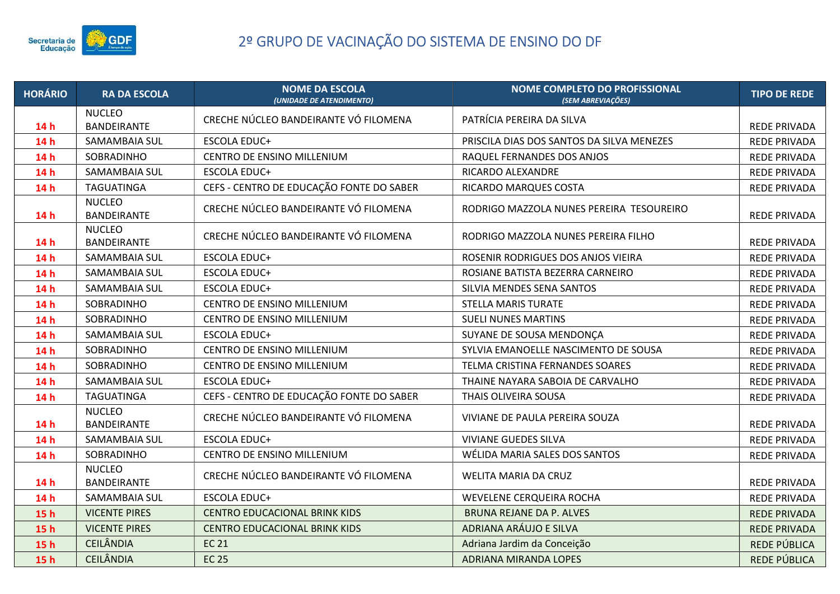

| <b>HORÁRIO</b>  | <b>RA DA ESCOLA</b>          | <b>NOME DA ESCOLA</b><br>(UNIDADE DE ATENDIMENTO) | NOME COMPLETO DO PROFISSIONAL<br>(SEM ABREVIAÇÕES) | <b>TIPO DE REDE</b> |
|-----------------|------------------------------|---------------------------------------------------|----------------------------------------------------|---------------------|
| 14h             | <b>NUCLEO</b><br>BANDEIRANTE | CRECHE NÚCLEO BANDEIRANTE VÓ FILOMENA             | PATRÍCIA PEREIRA DA SILVA                          | REDE PRIVADA        |
| 14h             | SAMAMBAIA SUL                | <b>ESCOLA EDUC+</b>                               | PRISCILA DIAS DOS SANTOS DA SILVA MENEZES          | <b>REDE PRIVADA</b> |
| 14 h            | SOBRADINHO                   | CENTRO DE ENSINO MILLENIUM                        | RAQUEL FERNANDES DOS ANJOS                         | <b>REDE PRIVADA</b> |
| 14h             | SAMAMBAIA SUL                | <b>ESCOLA EDUC+</b>                               | RICARDO ALEXANDRE                                  | <b>REDE PRIVADA</b> |
| 14h             | <b>TAGUATINGA</b>            | CEFS - CENTRO DE EDUCAÇÃO FONTE DO SABER          | RICARDO MARQUES COSTA                              | <b>REDE PRIVADA</b> |
| 14h             | <b>NUCLEO</b><br>BANDEIRANTE | CRECHE NÚCLEO BANDEIRANTE VÓ FILOMENA             | RODRIGO MAZZOLA NUNES PEREIRA TESOUREIRO           | <b>REDE PRIVADA</b> |
| 14h             | <b>NUCLEO</b><br>BANDEIRANTE | CRECHE NÚCLEO BANDEIRANTE VÓ FILOMENA             | RODRIGO MAZZOLA NUNES PEREIRA FILHO                | <b>REDE PRIVADA</b> |
| 14h             | SAMAMBAIA SUL                | <b>ESCOLA EDUC+</b>                               | ROSENIR RODRIGUES DOS ANJOS VIEIRA                 | REDE PRIVADA        |
| 14 h            | SAMAMBAIA SUL                | <b>ESCOLA EDUC+</b>                               | ROSIANE BATISTA BEZERRA CARNEIRO                   | <b>REDE PRIVADA</b> |
| 14 h            | SAMAMBAIA SUL                | <b>ESCOLA EDUC+</b>                               | SILVIA MENDES SENA SANTOS                          | REDE PRIVADA        |
| 14h             | SOBRADINHO                   | CENTRO DE ENSINO MILLENIUM                        | <b>STELLA MARIS TURATE</b>                         | <b>REDE PRIVADA</b> |
| 14 h            | SOBRADINHO                   | CENTRO DE ENSINO MILLENIUM                        | <b>SUELI NUNES MARTINS</b>                         | <b>REDE PRIVADA</b> |
| 14h             | SAMAMBAIA SUL                | <b>ESCOLA EDUC+</b>                               | SUYANE DE SOUSA MENDONÇA                           | <b>REDE PRIVADA</b> |
| 14h             | SOBRADINHO                   | CENTRO DE ENSINO MILLENIUM                        | SYLVIA EMANOELLE NASCIMENTO DE SOUSA               | <b>REDE PRIVADA</b> |
| 14 h            | SOBRADINHO                   | CENTRO DE ENSINO MILLENIUM                        | TELMA CRISTINA FERNANDES SOARES                    | REDE PRIVADA        |
| 14h             | SAMAMBAIA SUL                | <b>ESCOLA EDUC+</b>                               | THAINE NAYARA SABOIA DE CARVALHO                   | <b>REDE PRIVADA</b> |
| 14 h            | <b>TAGUATINGA</b>            | CEFS - CENTRO DE EDUCAÇÃO FONTE DO SABER          | THAIS OLIVEIRA SOUSA                               | <b>REDE PRIVADA</b> |
| 14h             | <b>NUCLEO</b><br>BANDEIRANTE | CRECHE NÚCLEO BANDEIRANTE VÓ FILOMENA             | VIVIANE DE PAULA PEREIRA SOUZA                     | <b>REDE PRIVADA</b> |
| 14h             | SAMAMBAIA SUL                | <b>ESCOLA EDUC+</b>                               | <b>VIVIANE GUEDES SILVA</b>                        | REDE PRIVADA        |
| 14h             | SOBRADINHO                   | CENTRO DE ENSINO MILLENIUM                        | WÉLIDA MARIA SALES DOS SANTOS                      | <b>REDE PRIVADA</b> |
| 14h             | <b>NUCLEO</b><br>BANDEIRANTE | CRECHE NÚCLEO BANDEIRANTE VÓ FILOMENA             | WELITA MARIA DA CRUZ                               | <b>REDE PRIVADA</b> |
| 14 h            | SAMAMBAIA SUL                | <b>ESCOLA EDUC+</b>                               | WEVELENE CERQUEIRA ROCHA                           | <b>REDE PRIVADA</b> |
| 15 <sub>h</sub> | <b>VICENTE PIRES</b>         | <b>CENTRO EDUCACIONAL BRINK KIDS</b>              | <b>BRUNA REJANE DA P. ALVES</b>                    | <b>REDE PRIVADA</b> |
| 15h             | <b>VICENTE PIRES</b>         | <b>CENTRO EDUCACIONAL BRINK KIDS</b>              | ADRIANA ARÁUJO E SILVA                             | <b>REDE PRIVADA</b> |
| 15h             | <b>CEILÂNDIA</b>             | <b>EC 21</b>                                      | Adriana Jardim da Conceição                        | REDE PÚBLICA        |
| 15 <sub>h</sub> | <b>CEILÂNDIA</b>             | <b>EC 25</b>                                      | <b>ADRIANA MIRANDA LOPES</b>                       | REDE PÚBLICA        |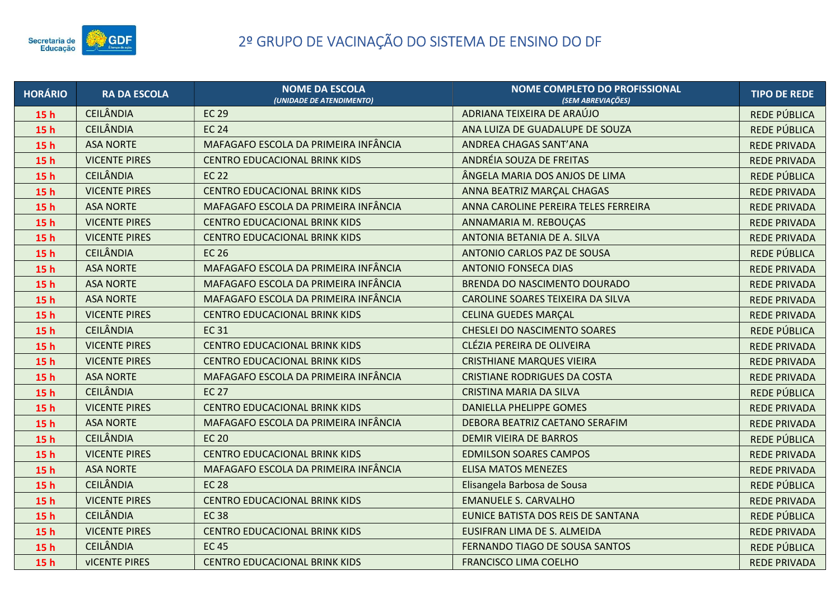

| <b>HORÁRIO</b>  | <b>RA DA ESCOLA</b>  | <b>NOME DA ESCOLA</b><br>(UNIDADE DE ATENDIMENTO) | <b>NOME COMPLETO DO PROFISSIONAL</b><br>(SEM ABREVIAÇÕES) | <b>TIPO DE REDE</b> |
|-----------------|----------------------|---------------------------------------------------|-----------------------------------------------------------|---------------------|
| 15 <sub>h</sub> | <b>CEILÂNDIA</b>     | <b>EC 29</b>                                      | ADRIANA TEIXEIRA DE ARAÚJO                                | REDE PÚBLICA        |
| 15 <sub>h</sub> | <b>CEILÂNDIA</b>     | <b>EC 24</b>                                      | ANA LUIZA DE GUADALUPE DE SOUZA                           | REDE PÚBLICA        |
| 15 <sub>h</sub> | <b>ASA NORTE</b>     | MAFAGAFO ESCOLA DA PRIMEIRA INFÂNCIA              | ANDREA CHAGAS SANT'ANA                                    | <b>REDE PRIVADA</b> |
| 15h             | <b>VICENTE PIRES</b> | <b>CENTRO EDUCACIONAL BRINK KIDS</b>              | ANDRÉIA SOUZA DE FREITAS                                  | <b>REDE PRIVADA</b> |
| 15 <sub>h</sub> | <b>CEILÂNDIA</b>     | <b>EC 22</b>                                      | ÂNGELA MARIA DOS ANJOS DE LIMA                            | REDE PÚBLICA        |
| 15 <sub>h</sub> | <b>VICENTE PIRES</b> | <b>CENTRO EDUCACIONAL BRINK KIDS</b>              | ANNA BEATRIZ MARÇAL CHAGAS                                | <b>REDE PRIVADA</b> |
| 15 <sub>h</sub> | <b>ASA NORTE</b>     | MAFAGAFO ESCOLA DA PRIMEIRA INFÂNCIA              | ANNA CAROLINE PEREIRA TELES FERREIRA                      | <b>REDE PRIVADA</b> |
| 15 <sub>h</sub> | <b>VICENTE PIRES</b> | <b>CENTRO EDUCACIONAL BRINK KIDS</b>              | ANNAMARIA M. REBOUÇAS                                     | <b>REDE PRIVADA</b> |
| 15 <sub>h</sub> | <b>VICENTE PIRES</b> | CENTRO EDUCACIONAL BRINK KIDS                     | ANTONIA BETANIA DE A. SILVA                               | <b>REDE PRIVADA</b> |
| 15h             | <b>CEILÂNDIA</b>     | <b>EC 26</b>                                      | ANTONIO CARLOS PAZ DE SOUSA                               | REDE PÚBLICA        |
| 15h             | <b>ASA NORTE</b>     | MAFAGAFO ESCOLA DA PRIMEIRA INFÂNCIA              | <b>ANTONIO FONSECA DIAS</b>                               | <b>REDE PRIVADA</b> |
| 15h             | <b>ASA NORTE</b>     | MAFAGAFO ESCOLA DA PRIMEIRA INFÂNCIA              | BRENDA DO NASCIMENTO DOURADO                              | <b>REDE PRIVADA</b> |
| 15h             | <b>ASA NORTE</b>     | MAFAGAFO ESCOLA DA PRIMEIRA INFÂNCIA              | CAROLINE SOARES TEIXEIRA DA SILVA                         | <b>REDE PRIVADA</b> |
| 15 <sub>h</sub> | <b>VICENTE PIRES</b> | <b>CENTRO EDUCACIONAL BRINK KIDS</b>              | <b>CELINA GUEDES MARÇAL</b>                               | <b>REDE PRIVADA</b> |
| 15h             | <b>CEILÂNDIA</b>     | <b>EC31</b>                                       | <b>CHESLEI DO NASCIMENTO SOARES</b>                       | REDE PÚBLICA        |
| 15h             | <b>VICENTE PIRES</b> | <b>CENTRO EDUCACIONAL BRINK KIDS</b>              | CLÉZIA PEREIRA DE OLIVEIRA                                | <b>REDE PRIVADA</b> |
| 15h             | <b>VICENTE PIRES</b> | <b>CENTRO EDUCACIONAL BRINK KIDS</b>              | <b>CRISTHIANE MARQUES VIEIRA</b>                          | <b>REDE PRIVADA</b> |
| 15h             | <b>ASA NORTE</b>     | MAFAGAFO ESCOLA DA PRIMEIRA INFÂNCIA              | <b>CRISTIANE RODRIGUES DA COSTA</b>                       | <b>REDE PRIVADA</b> |
| 15h             | <b>CEILÂNDIA</b>     | <b>EC 27</b>                                      | CRISTINA MARIA DA SILVA                                   | REDE PÚBLICA        |
| 15h             | <b>VICENTE PIRES</b> | <b>CENTRO EDUCACIONAL BRINK KIDS</b>              | <b>DANIELLA PHELIPPE GOMES</b>                            | <b>REDE PRIVADA</b> |
| 15h             | <b>ASA NORTE</b>     | MAFAGAFO ESCOLA DA PRIMEIRA INFÂNCIA              | DEBORA BEATRIZ CAETANO SERAFIM                            | <b>REDE PRIVADA</b> |
| 15h             | <b>CEILÂNDIA</b>     | <b>EC 20</b>                                      | <b>DEMIR VIEIRA DE BARROS</b>                             | REDE PÚBLICA        |
| 15h             | <b>VICENTE PIRES</b> | <b>CENTRO EDUCACIONAL BRINK KIDS</b>              | <b>EDMILSON SOARES CAMPOS</b>                             | <b>REDE PRIVADA</b> |
| 15h             | <b>ASA NORTE</b>     | MAFAGAFO ESCOLA DA PRIMEIRA INFÂNCIA              | <b>ELISA MATOS MENEZES</b>                                | <b>REDE PRIVADA</b> |
| 15h             | <b>CEILÂNDIA</b>     | <b>EC 28</b>                                      | Elisangela Barbosa de Sousa                               | REDE PÚBLICA        |
| 15h             | <b>VICENTE PIRES</b> | <b>CENTRO EDUCACIONAL BRINK KIDS</b>              | <b>EMANUELE S. CARVALHO</b>                               | <b>REDE PRIVADA</b> |
| 15h             | <b>CEILÂNDIA</b>     | <b>EC38</b>                                       | EUNICE BATISTA DOS REIS DE SANTANA                        | REDE PÚBLICA        |
| 15h             | <b>VICENTE PIRES</b> | <b>CENTRO EDUCACIONAL BRINK KIDS</b>              | EUSIFRAN LIMA DE S. ALMEIDA                               | <b>REDE PRIVADA</b> |
| 15h             | <b>CEILÂNDIA</b>     | <b>EC45</b>                                       | FERNANDO TIAGO DE SOUSA SANTOS                            | REDE PÚBLICA        |
| 15h             | <b>VICENTE PIRES</b> | <b>CENTRO EDUCACIONAL BRINK KIDS</b>              | <b>FRANCISCO LIMA COELHO</b>                              | <b>REDE PRIVADA</b> |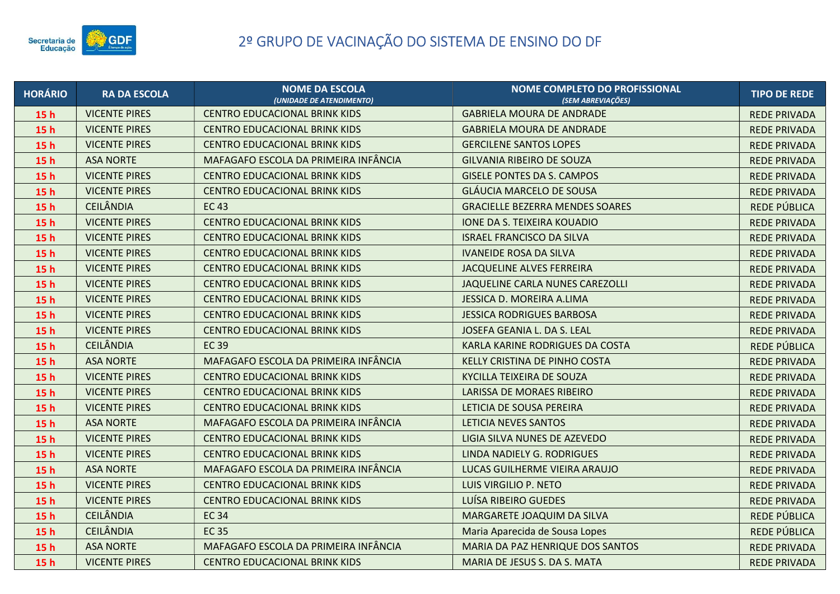

| <b>HORÁRIO</b>  | <b>RA DA ESCOLA</b>  | <b>NOME DA ESCOLA</b><br>(UNIDADE DE ATENDIMENTO) | NOME COMPLETO DO PROFISSIONAL<br>(SEM ABREVIACÕES) | <b>TIPO DE REDE</b> |
|-----------------|----------------------|---------------------------------------------------|----------------------------------------------------|---------------------|
| 15 <sub>h</sub> | <b>VICENTE PIRES</b> | <b>CENTRO EDUCACIONAL BRINK KIDS</b>              | <b>GABRIELA MOURA DE ANDRADE</b>                   | <b>REDE PRIVADA</b> |
| 15 <sub>h</sub> | <b>VICENTE PIRES</b> | <b>CENTRO EDUCACIONAL BRINK KIDS</b>              | <b>GABRIELA MOURA DE ANDRADE</b>                   | <b>REDE PRIVADA</b> |
| 15h             | <b>VICENTE PIRES</b> | <b>CENTRO EDUCACIONAL BRINK KIDS</b>              | <b>GERCILENE SANTOS LOPES</b>                      | <b>REDE PRIVADA</b> |
| 15h             | <b>ASA NORTE</b>     | MAFAGAFO ESCOLA DA PRIMEIRA INFÂNCIA              | <b>GILVANIA RIBEIRO DE SOUZA</b>                   | <b>REDE PRIVADA</b> |
| 15 <sub>h</sub> | <b>VICENTE PIRES</b> | <b>CENTRO EDUCACIONAL BRINK KIDS</b>              | <b>GISELE PONTES DA S. CAMPOS</b>                  | <b>REDE PRIVADA</b> |
| 15 <sub>h</sub> | <b>VICENTE PIRES</b> | CENTRO EDUCACIONAL BRINK KIDS                     | <b>GLÁUCIA MARCELO DE SOUSA</b>                    | <b>REDE PRIVADA</b> |
| 15h             | <b>CEILÂNDIA</b>     | <b>EC43</b>                                       | <b>GRACIELLE BEZERRA MENDES SOARES</b>             | REDE PÚBLICA        |
| 15 <sub>h</sub> | <b>VICENTE PIRES</b> | <b>CENTRO EDUCACIONAL BRINK KIDS</b>              | <b>IONE DA S. TEIXEIRA KOUADIO</b>                 | <b>REDE PRIVADA</b> |
| 15h             | <b>VICENTE PIRES</b> | <b>CENTRO EDUCACIONAL BRINK KIDS</b>              | <b>ISRAEL FRANCISCO DA SILVA</b>                   | <b>REDE PRIVADA</b> |
| 15h             | <b>VICENTE PIRES</b> | <b>CENTRO EDUCACIONAL BRINK KIDS</b>              | <b>IVANEIDE ROSA DA SILVA</b>                      | <b>REDE PRIVADA</b> |
| 15 <sub>h</sub> | <b>VICENTE PIRES</b> | <b>CENTRO EDUCACIONAL BRINK KIDS</b>              | <b>JACQUELINE ALVES FERREIRA</b>                   | <b>REDE PRIVADA</b> |
| 15 <sub>h</sub> | <b>VICENTE PIRES</b> | <b>CENTRO EDUCACIONAL BRINK KIDS</b>              | JAQUELINE CARLA NUNES CAREZOLLI                    | <b>REDE PRIVADA</b> |
| 15 <sub>h</sub> | <b>VICENTE PIRES</b> | <b>CENTRO EDUCACIONAL BRINK KIDS</b>              | JESSICA D. MOREIRA A.LIMA                          | <b>REDE PRIVADA</b> |
| 15h             | <b>VICENTE PIRES</b> | <b>CENTRO EDUCACIONAL BRINK KIDS</b>              | <b>JESSICA RODRIGUES BARBOSA</b>                   | <b>REDE PRIVADA</b> |
| 15h             | <b>VICENTE PIRES</b> | <b>CENTRO EDUCACIONAL BRINK KIDS</b>              | JOSEFA GEANIA L. DA S. LEAL                        | <b>REDE PRIVADA</b> |
| 15 <sub>h</sub> | <b>CEILÂNDIA</b>     | <b>EC39</b>                                       | KARLA KARINE RODRIGUES DA COSTA                    | REDE PÚBLICA        |
| 15 <sub>h</sub> | <b>ASA NORTE</b>     | MAFAGAFO ESCOLA DA PRIMEIRA INFÂNCIA              | KELLY CRISTINA DE PINHO COSTA                      | <b>REDE PRIVADA</b> |
| 15 <sub>h</sub> | <b>VICENTE PIRES</b> | <b>CENTRO EDUCACIONAL BRINK KIDS</b>              | KYCILLA TEIXEIRA DE SOUZA                          | <b>REDE PRIVADA</b> |
| 15 <sub>h</sub> | <b>VICENTE PIRES</b> | <b>CENTRO EDUCACIONAL BRINK KIDS</b>              | LARISSA DE MORAES RIBEIRO                          | <b>REDE PRIVADA</b> |
| 15h             | <b>VICENTE PIRES</b> | <b>CENTRO EDUCACIONAL BRINK KIDS</b>              | LETICIA DE SOUSA PEREIRA                           | <b>REDE PRIVADA</b> |
| 15h             | <b>ASA NORTE</b>     | MAFAGAFO ESCOLA DA PRIMEIRA INFÂNCIA              | LETICIA NEVES SANTOS                               | <b>REDE PRIVADA</b> |
| 15h             | <b>VICENTE PIRES</b> | <b>CENTRO EDUCACIONAL BRINK KIDS</b>              | LIGIA SILVA NUNES DE AZEVEDO                       | <b>REDE PRIVADA</b> |
| 15 <sub>h</sub> | <b>VICENTE PIRES</b> | <b>CENTRO EDUCACIONAL BRINK KIDS</b>              | LINDA NADIELY G. RODRIGUES                         | <b>REDE PRIVADA</b> |
| 15 <sub>h</sub> | <b>ASA NORTE</b>     | MAFAGAFO ESCOLA DA PRIMEIRA INFÂNCIA              | LUCAS GUILHERME VIEIRA ARAUJO                      | <b>REDE PRIVADA</b> |
| 15h             | <b>VICENTE PIRES</b> | <b>CENTRO EDUCACIONAL BRINK KIDS</b>              | LUIS VIRGILIO P. NETO                              | <b>REDE PRIVADA</b> |
| 15h             | <b>VICENTE PIRES</b> | <b>CENTRO EDUCACIONAL BRINK KIDS</b>              | LUÍSA RIBEIRO GUEDES                               | <b>REDE PRIVADA</b> |
| 15 <sub>h</sub> | <b>CEILÂNDIA</b>     | <b>EC 34</b>                                      | MARGARETE JOAQUIM DA SILVA                         | REDE PÚBLICA        |
| 15 <sub>h</sub> | <b>CEILÂNDIA</b>     | <b>EC35</b>                                       | Maria Aparecida de Sousa Lopes                     | REDE PÚBLICA        |
| 15h             | <b>ASA NORTE</b>     | MAFAGAFO ESCOLA DA PRIMEIRA INFÂNCIA              | MARIA DA PAZ HENRIQUE DOS SANTOS                   | <b>REDE PRIVADA</b> |
| 15 <sub>h</sub> | <b>VICENTE PIRES</b> | <b>CENTRO EDUCACIONAL BRINK KIDS</b>              | MARIA DE JESUS S. DA S. MATA                       | <b>REDE PRIVADA</b> |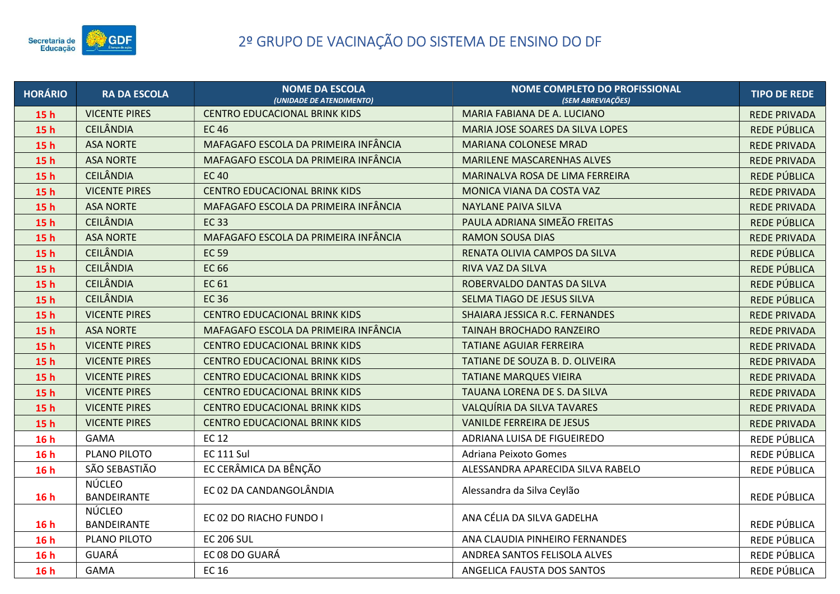

| <b>HORÁRIO</b>  | <b>RA DA ESCOLA</b>                 | <b>NOME DA ESCOLA</b><br>(UNIDADE DE ATENDIMENTO) | <b>NOME COMPLETO DO PROFISSIONAL</b><br>(SEM ABREVIAÇÕES) | <b>TIPO DE REDE</b> |
|-----------------|-------------------------------------|---------------------------------------------------|-----------------------------------------------------------|---------------------|
| 15 <sub>h</sub> | <b>VICENTE PIRES</b>                | <b>CENTRO EDUCACIONAL BRINK KIDS</b>              | MARIA FABIANA DE A. LUCIANO                               | <b>REDE PRIVADA</b> |
| 15h             | <b>CEILÂNDIA</b>                    | <b>EC46</b>                                       | MARIA JOSE SOARES DA SILVA LOPES                          | REDE PÚBLICA        |
| 15h             | <b>ASA NORTE</b>                    | MAFAGAFO ESCOLA DA PRIMEIRA INFÂNCIA              | <b>MARIANA COLONESE MRAD</b>                              | <b>REDE PRIVADA</b> |
| 15h             | <b>ASA NORTE</b>                    | MAFAGAFO ESCOLA DA PRIMEIRA INFÂNCIA              | <b>MARILENE MASCARENHAS ALVES</b>                         | <b>REDE PRIVADA</b> |
| 15h             | <b>CEILÂNDIA</b>                    | <b>EC40</b>                                       | MARINALVA ROSA DE LIMA FERREIRA                           | REDE PÚBLICA        |
| 15h             | <b>VICENTE PIRES</b>                | <b>CENTRO EDUCACIONAL BRINK KIDS</b>              | MONICA VIANA DA COSTA VAZ                                 | <b>REDE PRIVADA</b> |
| 15 <sub>h</sub> | <b>ASA NORTE</b>                    | MAFAGAFO ESCOLA DA PRIMEIRA INFÂNCIA              | <b>NAYLANE PAIVA SILVA</b>                                | <b>REDE PRIVADA</b> |
| 15h             | <b>CEILÂNDIA</b>                    | <b>EC33</b>                                       | PAULA ADRIANA SIMEÃO FREITAS                              | REDE PÚBLICA        |
| 15h             | <b>ASA NORTE</b>                    | MAFAGAFO ESCOLA DA PRIMEIRA INFÂNCIA              | <b>RAMON SOUSA DIAS</b>                                   | <b>REDE PRIVADA</b> |
| 15h             | <b>CEILÂNDIA</b>                    | <b>EC 59</b>                                      | RENATA OLIVIA CAMPOS DA SILVA                             | REDE PÚBLICA        |
| 15h             | <b>CEILÂNDIA</b>                    | <b>EC 66</b>                                      | RIVA VAZ DA SILVA                                         | REDE PÚBLICA        |
| 15h             | <b>CEILÂNDIA</b>                    | <b>EC 61</b>                                      | ROBERVALDO DANTAS DA SILVA                                | REDE PÚBLICA        |
| 15 <sub>h</sub> | <b>CEILÂNDIA</b>                    | <b>EC36</b>                                       | SELMA TIAGO DE JESUS SILVA                                | REDE PÚBLICA        |
| 15h             | <b>VICENTE PIRES</b>                | <b>CENTRO EDUCACIONAL BRINK KIDS</b>              | SHAIARA JESSICA R.C. FERNANDES                            | <b>REDE PRIVADA</b> |
| 15h             | <b>ASA NORTE</b>                    | MAFAGAFO ESCOLA DA PRIMEIRA INFÂNCIA              | TAINAH BROCHADO RANZEIRO                                  | <b>REDE PRIVADA</b> |
| 15h             | <b>VICENTE PIRES</b>                | <b>CENTRO EDUCACIONAL BRINK KIDS</b>              | <b>TATIANE AGUIAR FERREIRA</b>                            | <b>REDE PRIVADA</b> |
| 15h             | <b>VICENTE PIRES</b>                | <b>CENTRO EDUCACIONAL BRINK KIDS</b>              | TATIANE DE SOUZA B. D. OLIVEIRA                           | <b>REDE PRIVADA</b> |
| 15h             | <b>VICENTE PIRES</b>                | <b>CENTRO EDUCACIONAL BRINK KIDS</b>              | <b>TATIANE MARQUES VIEIRA</b>                             | <b>REDE PRIVADA</b> |
| 15h             | <b>VICENTE PIRES</b>                | <b>CENTRO EDUCACIONAL BRINK KIDS</b>              | TAUANA LORENA DE S. DA SILVA                              | <b>REDE PRIVADA</b> |
| 15h             | <b>VICENTE PIRES</b>                | <b>CENTRO EDUCACIONAL BRINK KIDS</b>              | VALQUÍRIA DA SILVA TAVARES                                | <b>REDE PRIVADA</b> |
| 15h             | <b>VICENTE PIRES</b>                | <b>CENTRO EDUCACIONAL BRINK KIDS</b>              | <b>VANILDE FERREIRA DE JESUS</b>                          | <b>REDE PRIVADA</b> |
| 16h             | <b>GAMA</b>                         | <b>EC 12</b>                                      | ADRIANA LUISA DE FIGUEIREDO                               | REDE PÚBLICA        |
| 16h             | PLANO PILOTO                        | <b>EC 111 Sul</b>                                 | Adriana Peixoto Gomes                                     | REDE PÚBLICA        |
| 16h             | SÃO SEBASTIÃO                       | EC CERÂMICA DA BÊNÇÃO                             | ALESSANDRA APARECIDA SILVA RABELO                         | REDE PÚBLICA        |
| 16h             | <b>NÚCLEO</b><br><b>BANDEIRANTE</b> | EC 02 DA CANDANGOLÂNDIA                           | Alessandra da Silva Ceylão                                | REDE PÚBLICA        |
| 16h             | <b>NÚCLEO</b><br>BANDEIRANTE        | EC 02 DO RIACHO FUNDO I                           | ANA CÉLIA DA SILVA GADELHA                                | REDE PÚBLICA        |
| 16h             | PLANO PILOTO                        | <b>EC 206 SUL</b>                                 | ANA CLAUDIA PINHEIRO FERNANDES                            | REDE PÚBLICA        |
| 16h             | GUARÁ                               | EC 08 DO GUARÁ                                    | ANDREA SANTOS FELISOLA ALVES                              | REDE PÚBLICA        |
| 16h             | <b>GAMA</b>                         | <b>EC 16</b>                                      | ANGELICA FAUSTA DOS SANTOS                                | REDE PÚBLICA        |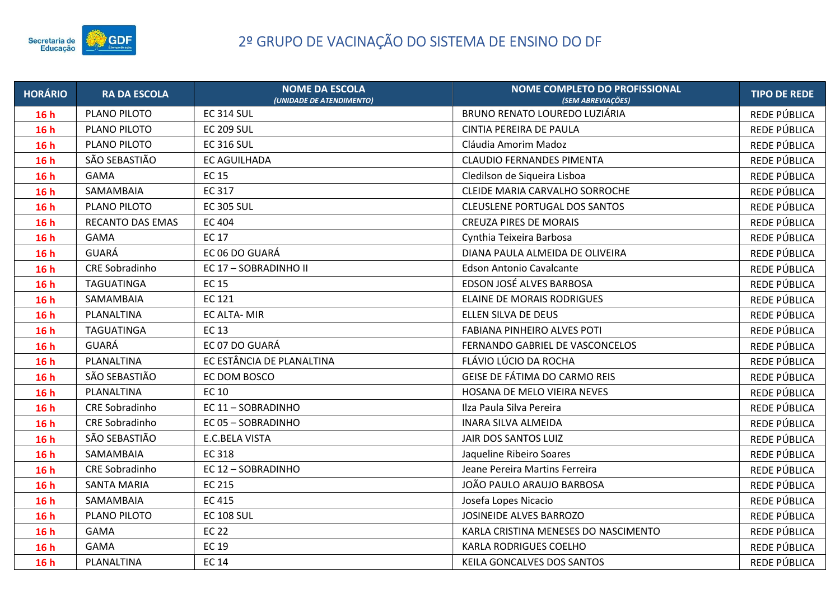

| <b>HORÁRIO</b> | <b>RA DA ESCOLA</b>   | <b>NOME DA ESCOLA</b><br>(UNIDADE DE ATENDIMENTO) | <b>NOME COMPLETO DO PROFISSIONAL</b><br><b>(SEM ABREVIAÇÕES)</b> | <b>TIPO DE REDE</b> |
|----------------|-----------------------|---------------------------------------------------|------------------------------------------------------------------|---------------------|
| 16h            | PLANO PILOTO          | <b>EC 314 SUL</b>                                 | <b>BRUNO RENATO LOUREDO LUZIÁRIA</b>                             | REDE PÚBLICA        |
| 16h            | PLANO PILOTO          | <b>EC 209 SUL</b>                                 | CINTIA PEREIRA DE PAULA                                          | REDE PÚBLICA        |
| 16h            | PLANO PILOTO          | <b>EC 316 SUL</b>                                 | Cláudia Amorim Madoz                                             | REDE PÚBLICA        |
| 16h            | SÃO SEBASTIÃO         | <b>EC AGUILHADA</b>                               | <b>CLAUDIO FERNANDES PIMENTA</b>                                 | REDE PÚBLICA        |
| 16h            | <b>GAMA</b>           | <b>EC 15</b>                                      | Cledilson de Sigueira Lisboa                                     | REDE PÚBLICA        |
| 16h            | SAMAMBAIA             | EC 317                                            | CLEIDE MARIA CARVALHO SORROCHE                                   | REDE PÚBLICA        |
| 16h            | PLANO PILOTO          | <b>EC 305 SUL</b>                                 | <b>CLEUSLENE PORTUGAL DOS SANTOS</b>                             | REDE PÚBLICA        |
| 16h            | RECANTO DAS EMAS      | <b>EC 404</b>                                     | <b>CREUZA PIRES DE MORAIS</b>                                    | REDE PÚBLICA        |
| 16h            | <b>GAMA</b>           | <b>EC 17</b>                                      | Cynthia Teixeira Barbosa                                         | REDE PÚBLICA        |
| 16h            | GUARÁ                 | EC 06 DO GUARÁ                                    | DIANA PAULA ALMEIDA DE OLIVEIRA                                  | REDE PÚBLICA        |
| 16h            | <b>CRE Sobradinho</b> | EC 17 - SOBRADINHO II                             | <b>Edson Antonio Cavalcante</b>                                  | REDE PÚBLICA        |
| 16h            | <b>TAGUATINGA</b>     | <b>EC 15</b>                                      | EDSON JOSÉ ALVES BARBOSA                                         | REDE PÚBLICA        |
| 16h            | SAMAMBAIA             | <b>EC 121</b>                                     | <b>ELAINE DE MORAIS RODRIGUES</b>                                | REDE PÚBLICA        |
| 16h            | PLANALTINA            | <b>EC ALTA-MIR</b>                                | ELLEN SILVA DE DEUS                                              | REDE PÚBLICA        |
| 16h            | <b>TAGUATINGA</b>     | <b>EC 13</b>                                      | <b>FABIANA PINHEIRO ALVES POTI</b>                               | REDE PÚBLICA        |
| 16h            | GUARÁ                 | EC 07 DO GUARÁ                                    | FERNANDO GABRIEL DE VASCONCELOS                                  | REDE PÚBLICA        |
| 16h            | PLANALTINA            | EC ESTÂNCIA DE PLANALTINA                         | FLÁVIO LÚCIO DA ROCHA                                            | REDE PÚBLICA        |
| 16h            | SÃO SEBASTIÃO         | EC DOM BOSCO                                      | GEISE DE FÁTIMA DO CARMO REIS                                    | REDE PÚBLICA        |
| 16h            | PLANALTINA            | <b>EC 10</b>                                      | HOSANA DE MELO VIEIRA NEVES                                      | REDE PÚBLICA        |
| 16h            | <b>CRE Sobradinho</b> | EC 11 - SOBRADINHO                                | Ilza Paula Silva Pereira                                         | REDE PÚBLICA        |
| 16h            | CRE Sobradinho        | EC 05 - SOBRADINHO                                | <b>INARA SILVA ALMEIDA</b>                                       | REDE PÚBLICA        |
| 16h            | SÃO SEBASTIÃO         | E.C.BELA VISTA                                    | JAIR DOS SANTOS LUIZ                                             | REDE PÚBLICA        |
| 16h            | SAMAMBAIA             | <b>EC 318</b>                                     | Jaqueline Ribeiro Soares                                         | REDE PÚBLICA        |
| 16h            | CRE Sobradinho        | EC 12 - SOBRADINHO                                | Jeane Pereira Martins Ferreira                                   | REDE PÚBLICA        |
| 16h            | <b>SANTA MARIA</b>    | <b>EC 215</b>                                     | JOÃO PAULO ARAUJO BARBOSA                                        | REDE PÚBLICA        |
| 16h            | SAMAMBAIA             | EC 415                                            | Josefa Lopes Nicacio                                             | REDE PÚBLICA        |
| 16h            | PLANO PILOTO          | <b>EC 108 SUL</b>                                 | JOSINEIDE ALVES BARROZO                                          | REDE PÚBLICA        |
| 16h            | GAMA                  | <b>EC 22</b>                                      | KARLA CRISTINA MENESES DO NASCIMENTO                             | REDE PÚBLICA        |
| 16h            | <b>GAMA</b>           | <b>EC 19</b>                                      | <b>KARLA RODRIGUES COELHO</b>                                    | REDE PÚBLICA        |
| 16h            | PLANALTINA            | <b>EC 14</b>                                      | KEILA GONCALVES DOS SANTOS                                       | REDE PÚBLICA        |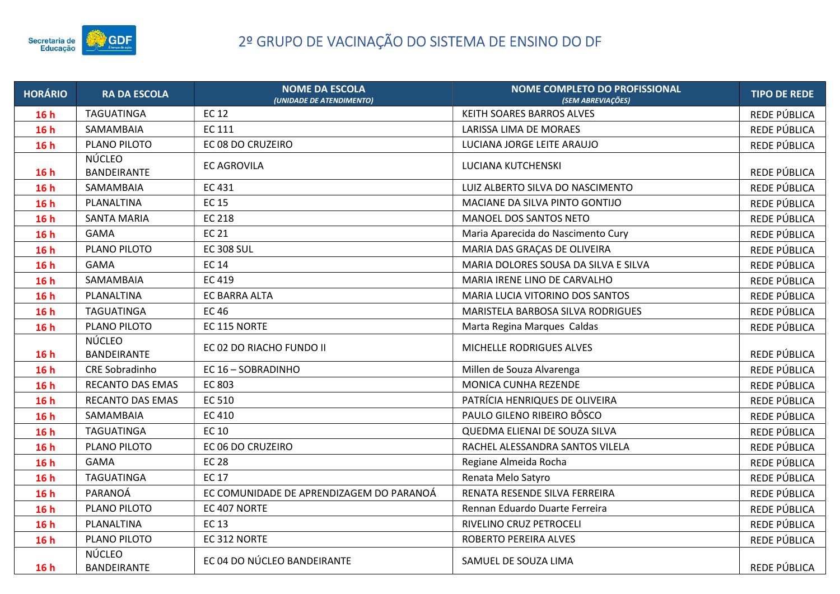

| <b>HORÁRIO</b> | <b>RA DA ESCOLA</b>                 | <b>NOME DA ESCOLA</b><br>(UNIDADE DE ATENDIMENTO) | <b>NOME COMPLETO DO PROFISSIONAL</b><br>(SEM ABREVIACÕES) | <b>TIPO DE REDE</b> |
|----------------|-------------------------------------|---------------------------------------------------|-----------------------------------------------------------|---------------------|
| 16h            | TAGUATINGA                          | <b>EC 12</b>                                      | KEITH SOARES BARROS ALVES                                 | REDE PÚBLICA        |
| 16h            | SAMAMBAIA                           | <b>EC 111</b>                                     | LARISSA LIMA DE MORAES                                    | REDE PÚBLICA        |
| 16h            | PLANO PILOTO                        | EC 08 DO CRUZEIRO                                 | LUCIANA JORGE LEITE ARAUJO                                | REDE PÚBLICA        |
| 16h            | NÚCLEO<br>BANDEIRANTE               | <b>EC AGROVILA</b>                                | LUCIANA KUTCHENSKI                                        | REDE PÚBLICA        |
| 16h            | SAMAMBAIA                           | <b>EC 431</b>                                     | LUIZ ALBERTO SILVA DO NASCIMENTO                          | REDE PÚBLICA        |
| 16h            | PLANALTINA                          | <b>EC 15</b>                                      | MACIANE DA SILVA PINTO GONTIJO                            | REDE PÚBLICA        |
| 16h            | <b>SANTA MARIA</b>                  | <b>EC 218</b>                                     | MANOEL DOS SANTOS NETO                                    | REDE PÚBLICA        |
| 16h            | <b>GAMA</b>                         | <b>EC 21</b>                                      | Maria Aparecida do Nascimento Cury                        | REDE PÚBLICA        |
| 16h            | PLANO PILOTO                        | <b>EC 308 SUL</b>                                 | MARIA DAS GRAÇAS DE OLIVEIRA                              | REDE PÚBLICA        |
| 16h            | <b>GAMA</b>                         | <b>EC 14</b>                                      | MARIA DOLORES SOUSA DA SILVA E SILVA                      | REDE PÚBLICA        |
| 16h            | SAMAMBAIA                           | EC 419                                            | MARIA IRENE LINO DE CARVALHO                              | REDE PÚBLICA        |
| 16h            | PLANALTINA                          | EC BARRA ALTA                                     | MARIA LUCIA VITORINO DOS SANTOS                           | REDE PÚBLICA        |
| 16h            | <b>TAGUATINGA</b>                   | <b>EC46</b>                                       | MARISTELA BARBOSA SILVA RODRIGUES                         | REDE PÚBLICA        |
| 16h            | PLANO PILOTO                        | EC 115 NORTE                                      | Marta Regina Marques Caldas                               | REDE PÚBLICA        |
| 16h            | <b>NÚCLEO</b><br><b>BANDEIRANTE</b> | EC 02 DO RIACHO FUNDO II                          | MICHELLE RODRIGUES ALVES                                  | REDE PÚBLICA        |
| 16h            | <b>CRE Sobradinho</b>               | EC 16 - SOBRADINHO                                | Millen de Souza Alvarenga                                 | REDE PÚBLICA        |
| 16h            | RECANTO DAS EMAS                    | EC 803                                            | MONICA CUNHA REZENDE                                      | REDE PÚBLICA        |
| 16h            | RECANTO DAS EMAS                    | EC 510                                            | PATRÍCIA HENRIQUES DE OLIVEIRA                            | REDE PÚBLICA        |
| 16h            | SAMAMBAIA                           | <b>EC 410</b>                                     | PAULO GILENO RIBEIRO BÔSCO                                | REDE PÚBLICA        |
| 16h            | TAGUATINGA                          | <b>EC 10</b>                                      | QUEDMA ELIENAI DE SOUZA SILVA                             | REDE PÚBLICA        |
| 16h            | PLANO PILOTO                        | EC 06 DO CRUZEIRO                                 | RACHEL ALESSANDRA SANTOS VILELA                           | REDE PÚBLICA        |
| 16h            | <b>GAMA</b>                         | <b>EC 28</b>                                      | Regiane Almeida Rocha                                     | REDE PÚBLICA        |
| 16h            | <b>TAGUATINGA</b>                   | <b>EC 17</b>                                      | Renata Melo Satyro                                        | REDE PÚBLICA        |
| 16h            | PARANOÁ                             | EC COMUNIDADE DE APRENDIZAGEM DO PARANOÁ          | RENATA RESENDE SILVA FERREIRA                             | REDE PÚBLICA        |
| 16h            | PLANO PILOTO                        | EC 407 NORTE                                      | Rennan Eduardo Duarte Ferreira                            | REDE PÚBLICA        |
| 16h            | PLANALTINA                          | <b>EC 13</b>                                      | RIVELINO CRUZ PETROCELI                                   | REDE PÚBLICA        |
| 16h            | PLANO PILOTO                        | EC 312 NORTE                                      | ROBERTO PEREIRA ALVES                                     | REDE PÚBLICA        |
| 16h            | NÚCLEO<br>BANDEIRANTE               | EC 04 DO NÚCLEO BANDEIRANTE                       | SAMUEL DE SOUZA LIMA                                      | REDE PÚBLICA        |